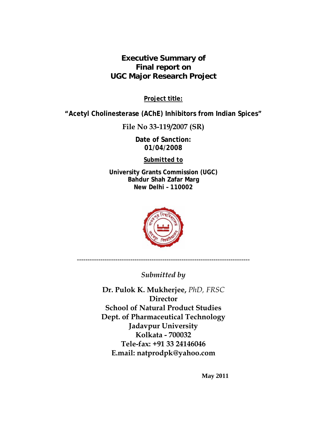# **Executive Summary of Final report on UGC Major Research Project**

**Project title:**

**"Acetyl Cholinesterase (AChE) Inhibitors from Indian Spices"**

**File No 33-119/2007 (SR)**

**Date of Sanction: 01/04/2008**

*Submitted to* 

**University Grants Commission (UGC) Bahdur Shah Zafar Marg New Delhi – 110002**



*Submitted by*

**Dr. Pulok K. Mukherjee,** *PhD, FRSC* **Director School of Natural Product Studies Dept. of Pharmaceutical Technology Jadavpur University Kolkata - 700032 Tele-fax: +91 33 24146046 E.mail: natprodpk@yahoo.com**

**---------------------------------------------------------------------------------**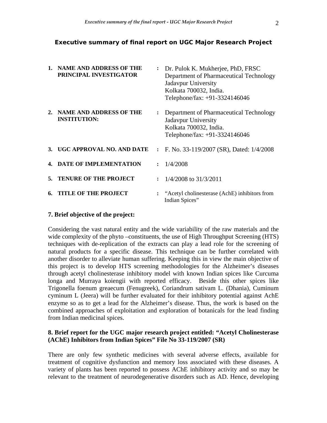# **Executive summary of final report on UGC Major Research Project**

|    | 1. NAME AND ADDRESS OF THE<br>PRINCIPAL INVESTIGATOR |                      | Dr. Pulok K. Mukherjee, PhD, FRSC<br>Department of Pharmaceutical Technology<br>Jadavpur University<br>Kolkata 700032, India.<br>Telephone/fax: +91-3324146046 |
|----|------------------------------------------------------|----------------------|----------------------------------------------------------------------------------------------------------------------------------------------------------------|
|    | 2. NAME AND ADDRESS OF THE<br><b>INSTITUTION:</b>    |                      | Department of Pharmaceutical Technology<br>Jadavpur University<br>Kolkata 700032, India.<br>Telephone/fax: +91-3324146046                                      |
|    | 3. UGC APPROVAL NO. AND DATE                         | $\ddot{\cdot}$       | F. No. 33-119/2007 (SR), Dated: 1/4/2008                                                                                                                       |
|    | <b>4. DATE OF IMPLEMENTATION</b>                     |                      | 1/4/2008                                                                                                                                                       |
| 5. | <b>TENURE OF THE PROJECT</b>                         |                      | $1/4/2008$ to $31/3/2011$                                                                                                                                      |
| 6. | <b>TITLE OF THE PROJECT</b>                          | $\ddot{\phantom{a}}$ | "Acetyl cholinesterase (AchE) inhibitors from<br>Indian Spices"                                                                                                |

# **7. Brief objective of the project:**

Considering the vast natural entity and the wide variability of the raw materials and the wide complexity of the phyto –constituents, the use of High Throughput Screening (HTS) techniques with de-replication of the extracts can play a lead role for the screening of natural products for a specific disease. This technique can be further correlated with another disorder to alleviate human suffering. Keeping this in view the main objective of this project is to develop HTS screening methodologies for the Alzheimer's diseases through acetyl cholinesterase inhibitory model with known Indian spices like Curcuma longa and Murraya koiengii with reported efficacy. Beside this other spices like Trigonella foenum greaecum (Fenugreek), Coriandrum sativam L. (Dhania), Cuminum cyminum L (Jeera) will be further evaluated for their inhibitory potential against AchE enzyme so as to get a lead for the Alzheimer's disease. Thus, the work is based on the combined approaches of exploitation and exploration of botanicals for the lead finding from Indian medicinal spices.

# **8. Brief report for the UGC major research project entitled: "Acetyl Cholinesterase (AChE) Inhibitors from Indian Spices" File No 33-119/2007 (SR)**

There are only few synthetic medicines with several adverse effects, available for treatment of cognitive dysfunction and memory loss associated with these diseases. A variety of plants has been reported to possess AChE inhibitory activity and so may be relevant to the treatment of neurodegenerative disorders such as AD. Hence, developing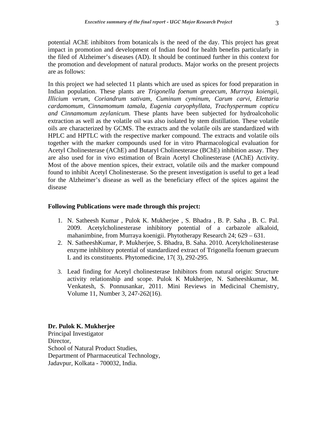potential AChE inhibitors from botanicals is the need of the day. This project has great impact in promotion and development of Indian food for health benefits particularly in the filed of Alzheimer's diseases (AD). It should be continued further in this context for the promotion and development of natural products. Major works on the present projects are as follows:

In this project we had selected 11 plants which are used as spices for food preparation in Indian population. These plants are *Trigonella foenum greaecum, Murraya koiengii, Illicium verum, Coriandrum sativam, Cuminum cyminum, Carum carvi, Elettaria cardamomum, Cinnamomum tamala, Eugenia caryophyllata, Trachyspermum copticu and Cinnamomum zeylanicum.* These plants have been subjected for hydroalcoholic extraction as well as the volatile oil was also isolated by stem distillation. These volatile oils are characterized by GCMS. The extracts and the volatile oils are standardized with HPLC and HPTLC with the respective marker compound. The extracts and volatile oils together with the marker compounds used for in vitro Pharmacological evaluation for Acetyl Cholinesterase (AChE) and Butaryl Cholinesterase (BChE) inhibition assay. They are also used for in vivo estimation of Brain Acetyl Cholinesterase (AChE) Activity. Most of the above mention spices, their extract, volatile oils and the marker compound found to inhibit Acetyl Cholinesterase. So the present investigation is useful to get a lead for the Alzheimer's disease as well as the beneficiary effect of the spices against the disease

# **Following Publications were made through this project:**

- 1. N. Satheesh Kumar , Pulok K. Mukherjee , S. Bhadra , B. P. Saha , B. C. Pal. 2009. Acetylcholinesterase inhibitory potential of a carbazole alkaloid, mahanimbine, from Murraya koenigii. [Phytotherapy Research](http://www3.interscience.wiley.com/journal/12567/home) 24; 629 – 631.
- 2. N. SatheeshKumar, P. Mukherjee, S. Bhadra, B. Saha. 2010. Acetylcholinesterase enzyme inhibitory potential of standardized extract of Trigonella foenum graecum L and its constituents. Phytomedicine, 17( 3), 292-295.
- 3. Lead finding for Acetyl cholinesterase Inhibitors from natural origin: Structure activity relationship and scope. Pulok K Mukherjee, N. Satheeshkumar, M. Venkatesh, S. Ponnusankar, 2011. Mini Reviews in Medicinal Chemistry, Volume 11, Number 3, 247-262(16).

**Dr. Pulok K. Mukherjee** Principal Investigator Director, School of Natural Product Studies, Department of Pharmaceutical Technology, Jadavpur, Kolkata - 700032, India.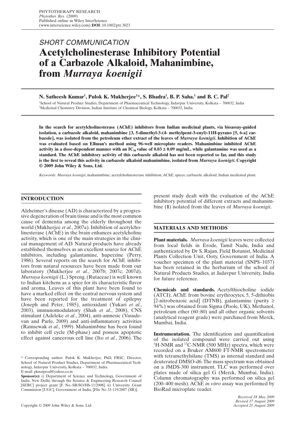# *SHORT COMMUNICATION* **Acetylcholinesterase Inhibitory Potential of a Carbazole Alkaloid, Mahanimbine, from** *Murraya koenigii*

**N. Satheesh Kumar1 , Pulok K. Mukherjee1 \*, S. Bhadra1 , B. P. Saha.1 and B. C. Pal2**

1 School of Natural Product Studies, Department of Pharmaceutical Technology, Jadavpur University, Kolkata – 700032, India 2 Medicinal Chemistry Division, Indian Institute of Chemical Biology, Kolkata – 700032, India

**In the search for acetylcholinesterase (AChE) inhibitors from Indian medicinal plants, via bioassay-guided isolation, a carbazole alkaloid, mahanimbine [3, 5-dimethyl-3-(4- methylpent-3-enyl)-11H-pyrano [5, 6-a] carbazole], was isolated from the petroleum ether extract of the leaves of** *Murraya koenigii***. Inhibition of AChE was evaluated based on Ellman's method using 96-well microplate readers. Mahanimbine inhibited AChE activity in a dose-dependent manner with an IC<sub>50</sub> value of**  $0.03 \pm 0.09$  **mg/mL, while galantamine was used as a standard. The AChE inhibitory activity of this carbazole alkaloid has not been reported so far, and this study is the first to reveal this activity in carbazole alkaloid mahanimbine, isolated from** *Murraya koenigii***. Copyright © 2009 John Wiley & Sons, Ltd.**

*Keywords: Murraya koenigii*; mahanimbine; acetylcholinesterase inhibition; AChE; spices; carbazole alkaloid; Indian medicinal plant.

# **INTRODUCTION**

Alzheimer's disease (AD) is characterized by a progressive degeneration of brain tissue and is the most common cause of dementia among the elderly throughout the world (Mukherjee *et al*., 2007a). Inhibition of acetylcholinesterase (AChE) in the brain enhances acetylcholine activity, which is one of the main strategies in the clinical management of AD. Natural products have already established themselves as an excellent source for AChE inhibitors, including galantamine, huperzine (Perry, 1986). Several reports on the search for AChE inhibitors from natural resources have been made from our laboratory (Mukherjee *et al*., 2007b; 2007c; 2007d). *Murraya koenigii* (L.) Spreng. (Rutaceae) is well known to Indian kitchens as a spice for its characteristic flavor and aroma. Leaves of this plant have been found to have a marked effect on the central nervous system and have been reported for the treatment of epilepsy (Joseph and Peter, 1985), antioxidant (Yukari *et al*., 2003), immunomodulatory (Shah *et al*., 2008), CNS stimulant (Adeleke *et al*., 2004), anti-amnesic (Vasudevan and Parle, 2009) and anti-inflammatory activities (Ramsewak *et al*., 1999). Mahanimbine has been found to inhibit cell cycle (M-phase) and possess apoptotic effect against cancerous cell line (Ito *et al.*, 2006). The

\* Corresponding author: Pulok K. Mukherjee, PhD, FRSC, Director, School of Natural Product Studies, Department of Pharmaceutical Technology, Jadavpur University, Kolkata – 700032, India. E-mail: pknatprod@yahoo.co.in

**Sponsor(s):** i) Department of Science and Technology, Government of India, New Delhi, through the Science & Engineering Research Council [SERC] project grant [F. No.-SR/SO/HS-11/2008]. ii) University Grant Commission [UGC], Government of India, [File No 33-119/2007 (SR)].

present study dealt with the evaluation of the AChE inhibitory potential of different extracts and mahanimbine (**1**) isolated from the leaves of *Murraya koenigii*.

# **MATERIALS AND METHODS**

**Plant materials.** *Murraya koenigii* leaves were collected from local fields in Erode, Tamil Nadu, India and authenticated by Dr S. Rajan, Field Botanist, Medicinal Plants Collection Unit, Ooty, Government of India. A voucher specimen of the plant material (SNPS–1037) has been retained in the herbarium of the school of Natural Products Studies, at Jadavpur University, India for future reference.

**Chemicals and standards.** Acetylthiocholine iodide (ATCI), AChE from bovine erythrocytes, 5, 5-dithiobis [2-nitrobenzoic acid] (DTNB), galantamine (purity  $\geq$ 94%) was obtained from Sigma (Poole, UK). Methanol, petroleum ether  $(60:80)$  and all other organic solvents (analytical reagent grade) were purchased from Merck, Mumbai, India.

**Instrumentation.** The identification and quantification of the isolated compound were carried out using  ${}^{1}$ H-NMR and  ${}^{13}$ C-NMR (500 MHz) spectra, which were recorded on a Bruker AM600 FT-NMR spectrometer with tetramethylsilane (TMS) as internal standard and deuterated DMSO-d6. The mass spectrum was obtained on a JMDS-300 instrument. TLC was performed over plates made of silica gel G (Merck, Mumbai, India). Column chromatography was performed on silica gel (200–400 mesh). AChE *in vitro* assay was performed by BioRad microplate reader.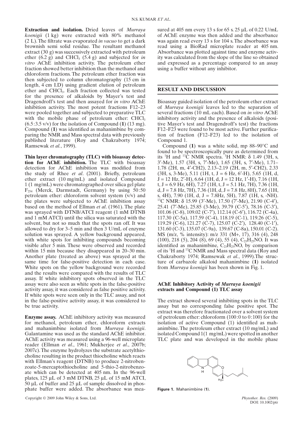**Extraction and isolation.** Dried leaves of *Murraya koenigii* (1 kg) were extracted with 80% methanol (2 L). The filtrate was evaporated *in vacuo* to get a dark brownish semi solid residue. The resultant methanol extract (30 g) was successively extracted with petroleum ether  $(6.2 \text{ g})$  and CHCl<sub>3</sub>  $(5.4 \text{ g})$  and subjected for *in vitro* AChE inhibition activity. The petroleum ether fraction showed better inhibition than the methanol and chloroform fractions. The petroleum ether fraction was then subjected to column chromatography (15 cm in length, 4 cm I.D) using gradient elution of petroleum ether and CHCl3. Each fraction collected was tested for the presence of alkaloids by Mayer's test and Dragendroff's test and then assayed for *in vitro* AChE inhibition activity. The most potent fractions F12–23 were pooled together and subjected to preparative TLC with the mobile phase of petroleum ether: CHCl<sub>3</sub>  $(6.5:3.5 \text{ v/v})$  for the isolation of Compound  $(1)$   $(13 \text{ mg})$ . Compound (**1**) was identified as mahanimbine by comparing the NMR and Mass spectral data with previously published literature (Roy and Chakraborty 1974; Ramsewak *et al.*, 1999).

**Thin layer chromatography (TLC) with bioassay detection for AChE inhibition.** The TLC with bioassay detection for AChE inhibition was modified from the study of Rhee *et al*. (2001). Briefly, petroleum ether extract (10 mg/mL) and isolated Compound 1 (1 mg/mL) were chromatographed over silica gel plate  $F_{254}$  (Merck, Darmstadt, Germany) by using  $50:50$ petroleum ether: chloroform solvent system (v/v) and the plates were subjected to AChE inhibition assay based on the method of Ellman *et al*. (1961). The plate was sprayed with DTNB/ATCI reagent (1 mM DTNB and 1 mM ATCI) until the silica was saturated with the solvent, but not so much that the spots ran off. It was allowed to dry for 3–5 min and then 3 U/mL of enzyme solution was sprayed. A yellow background appeared, with white spots for inhibiting compounds becoming visible after 5 min. These were observed and recorded within 15 min because they disappeared in 20–30 min. Another plate (treated as above) was sprayed at the same time for false-positive detection in each case. White spots on the yellow background were recorded and the results were compared with the results of TLC assay. If white inhibitory spots observed in the TLC assay were also seen as white spots in the false-positive activity assay, it was considered as false positive activity. If white spots were seen only in the TLC assay, and not in the false-positive activity assay, it was considered to be true activity.

**Enzyme assay.** AChE inhibitory activity was measured for methanol, petroleum ether, chloroform extracts and mahanimbine isolated from *Murraya koenigii*. Galantamine was used as the standard AChE inhibitor. AChE activity was measured using a 96-well microplate reader (Ellman *et al*., 1961; Mukherjee *et al*., 2007b; 2007c). The enzyme hydrolyzes the substrate acetylthiocholine resulting in the product thiocholine which reacts with Ellman's reagent (DTNB) to produce 2-nitrobenzoate-5-mercaptothiocholine and 5-thio-2-nitrobenzoate which can be detected at 405 nm. In the 96-well plates, 125 µL of 3 mM DTNB, 25 µL of 15 mM ATCI,  $50 \mu L$  of buffer and 25  $\mu L$  of sample dissolved in phosphate buffer were added. The absorbance was measured at 405 nm every 13 s for 65 s. 25 µL of 0.22 U/mL of AChE enzyme was then added and the absorbance was again read every 13 s for 104 s. The absorbance was read using a BioRad microplate reader at 405 nm. Absorbance was plotted against time and enzyme activity was calculated from the slope of the line so obtained and expressed as a percentage compared to an assay using a buffer without any inhibitor.

# **RESULT AND DISCUSSION**

Bioassay guided isolation of the petroleum ether extract of *Murraya koenigii* leaves led to the separation of several fractions (10 mL each). Based on *in vitro* AChE inhibitory activity and the presence of alkaloids (positive Mayer's test and Dragendroff's test) the fractions F12–F23 were found to be most active. Further purification of fraction (F12–F23) led to the isolation of Compound 1.

Compound (**1**) was a white solid, mp 88–90°C and found to be spectroscopically pure as determined from its <sup>1</sup>H and <sup>13</sup>C NMR spectra. <sup>1</sup>H NMR:  $\delta$  1.49 (3H, s, 3′-Me), 1.57 (3H, s, 7′-Me), 1.65 (3H, s, 7′-Me), 1.71– 1.78 (2H, m, 4′-CH2), 2.13–2.19 (2H, m, 5′-CH2), 2.33  $(3H, s, 3-Me), 5.11$  (1H, t, J = 6 Hz, 6'-H), 5.65 (1H, d,  $J = 12$  Hz, 2'-H), 6.64 (1H, d, J = 12 Hz, 1'-H), 7.16 (1H, t, J = 6.9 Hz, 6H), 7.27 (1H, t, J = 5.1 Hz, 7H), 7.36 (1H, d, J = 7.8 Hz, 7H), 7.36 (1H, d, J = 7.8 Hz, 8H), 7.65 (1H, s, 4H), 7.90 (1H, d, J = 7.8Hz, 5H), 7.87 (1H, s, -NH).  $13C$  NMR: δ 15.99 (3′-Me), 17.50 (7′-Me), 21.90 (C-4′), 25.41 (7′-Me), 25.85 (3-Me), 39.79 (C-5′), 78.16 (C-3′), 101.06 (C-8), 109.02 (C-7′), 112.14 (C-6′), 116.72 (C-4a), 117.30 (C-5a), 117.59 (C-4), 118.19 (C-1), 119.26 (C-5), 119.29 (C-6), 121.27 (C-7), 125.07 (C-2′), 128.40 (C-1′), 131.60 (C-3), 135.07 (C-9a), 139.67 (C-8a), 150.01 (C-2). MS (m/z, % intensity): m/z 331 (M+, 17), 316 (4), 248  $(100)$ , 218 (5), 204 (8), 69 (4), 55 (4), C<sub>23</sub>H<sub>25</sub>NO. It was identified as mahanimbine,  $C_{23}H_{25}NO$ , by comparison of its <sup>1</sup>H and <sup>13</sup>C NMR and Mass spectral data (Roy and Chakraborty 1974; Ramsewak *et al.*, 1999).The structure of carbazole alkaloid mahanimbine (**1**) isolated from *Murraya koenigii* has been shown in Fig. 1.

# **AChE Inhibitory Activity of** *Murraya koenigii*  **extracts and Compound (1) TLC assay**

The extract showed several inhibiting spots in the TLC assay but no corresponding false positive spot. The extract was therefore fractionated over a solvent system of petroleum ether: chloroform  $(100:0$  to  $0:100)$  for the isolation of active Compound (1) identified as mahanimbine. The petroleum ether extract (10 mg/mL) and isolated Compound 1(1 mg/mL) were spotted in another TLC plate and was developed in the mobile phase



**Figure 1.** Mahanimbine (**1**).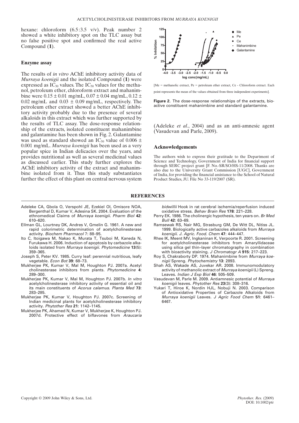hexane: chloroform  $(6.5:3.5 \text{ v/v})$ . Peak number 2 showed a white inhibitory spot on the TLC assay but no false positive spot and confirmed the real active Compound (**1**).

# **Enzyme assay**

The results of *in vitro* AChE inhibitory activity data of *Murraya koenigii* and the isolated Compound (**1**) were expressed as  $IC_{50}$  values. The  $IC_{50}$  values for the methanol, petroleum ether, chloroform extract and mahanimbine were  $0.15 \pm 0.01$  mg/mL,  $0.07 \pm 0.04$  mg/mL,  $0.12 \pm$ 0.02 mg/mL and  $0.03 \pm 0.09$  mg/mL, respectively. The petroleum ether extract showed a better AChE inhibitory activity probably due to the presence of several alkaloids in this extract which was further supported by the results of TLC assay. The dose-response relationship of the extracts, isolated constituent mahanimbine and galantamine has been shown in Fig. 2. Galantamine was used as standard showed an IC<sub>50</sub> value of 0.006  $\pm$ 0.001 mg/mL. *Murraya koenigii* has been used as a very popular spice in Indian delicacies over the years, and provides nutritional as well as several medicinal values as discussed earlier. This study further explores the AChE inhibitory activity of the extract and mahanimbine isolated from it. Thus this study substantiates further the effect of this plant on central nervous system

- Adeleke CA, Gbola O, Verspohl JE, Ezekiel OI, Omisore NOA, Bergenthal D, Kumar V, Adesina SK. 2004. Evaluation of the ethnomedical Claims of *Murraya koenigii*. *Pharm Biol* **42**: 610–620.
- Ellman GL, Lourtney DK, Andres V, Gmelin G. 1961. A new and rapid colorimetric determination of acetylcholinesterase activity. *Biochem Pharmacol* 7: 88–95.
- Ito C, Itoigawa M, Nakao K, Murata T, Tsuboi M, Kaneda N, Furukawa H. 2006. Induction of apoptosis by carbazole alkaloids isolated from *Murraya koenigii*. *Phytomedicine* **13**(5): 359–365.
- Joseph S, Peter KV. 1985. Curry leaf: perennial nutritious, leafy vegetable. *Econ Bot* **39**: 68–73.
- Mukherjee PK, Kumar V, Mal M, Houghton PJ. 2007a. Acetyl cholinesterase inhibitors from plants. *Phytomedicine* **4**: 289–300.
- Mukherjee PK, Kumar V, Mal M, Houghton PJ. 2007b. *In vitro* acetylcholinesterase inhibitory activity of essential oil and its main constituents of *Acorus calamus*. *Planta Med* **73**: 283–285.
- Mukherjee PK, Kumar V, Houghton PJ. 2007c. Screening of Indian medicinal plants for acetylcholinesterase inhibitory activity. *Phytother Res* **21**: 1142–1145.
- Mukherjee PK, Ahamed N, Kumar V, Mukherjee K, Houghton PJ. 2007d. Protective effect of biflavones from *Araucaria*



[Me = methanolic extract, Pe = petroleum ether extract, Ce - Chloroform extract. Each point represents the mean of the values obtained from three independent experiments].

**Figure 2.** The dose-response relationships of the extracts, bioactive constituent mahanimbine and standard galantamine.

(Adeleke *et al*., 2004) and as an anti-amnesic agent (Vasudevan and Parle, 2009).

## **Acknowledgements**

The authors wish to express their gratitude to the Department of Science and Technology, Government of India for financial support through SERC project grant [F. No.-SR/SO/HS-11/2008. Thanks are also due to the University Grant Commission [UGC], Government of India, for providing the financial assistance to the School of Natural Product Studies, JU. File No 33-119/2007 (SR).

# **REFERENCES**

*bidwillii* Hook in rat cerebral ischemia/reperfusion induced oxidative stress. *Behav Brain Res* **178**: 221–228.

- Perry EK. 1986. The cholinergic hypothesis, ten years on. *Br Med Bull* **42**: 63–69.
- Ramsewak RS, Nair MG, Strasburg GM, De Witt DL, Nitiss JL. 1999. Biologically active carbazoles alkaloids from *Murraya koenigii*. *J. Agric. Food. Chem* **47**: 444–447.
- Rhee IK, Meent MV, Ingkaninan K, Verpoorte R. 2001. Screening for acetylcholinesterase inhibitors from Amaryllidaceae using silica gel thin–layer chromatography in combination with bioactivity staining. *J Chromatogr A* **915**: 217–223.
- Roy S, Chakraborty DP. 1974. Mahanimbine from *Murraya koenigii* Spreng. *Phytochemistry* **13**: 2893.
- Shah AS, Wakade AS, Juvekar AR. 2008. Immunomodulatory activity of methanolic extract of *Murraya koenigii* (L) Spreng. Leaves. *Indian J Exp Biol* **46**: 505–509.
- Vasudevan M, Parle M. 2009. Antiamnesic potential of *Murraya koenigii* leaves. *Phytother Res* **23**(3): 308–316.
- Yukari T, Hiroe K, Nordin HJL, Nobuji N. 2003. Comparison of Antioxidative Properties of Carbazole Alkaloids from *Murraya koenigii* Leaves. *J Agric Food Chem* **51**: 6461– 6467.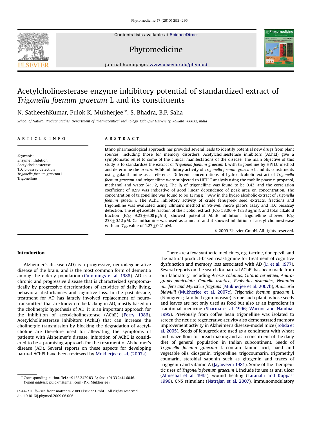Contents lists available at ScienceDirect

# Phytomedicine



journal homepage: <www.elsevier.de/phymed>

# Acetylcholinesterase enzyme inhibitory potential of standardized extract of Trigonella foenum graecum L and its constituents

# N. SatheeshKumar, Pulok K. Mukherjee \*, S. Bhadra, B.P. Saha

School of Natural Product Studies, Department of Pharmaceutical Technology, Jadavpur University, Kolkata 700032, India

#### article info

# **ABSTRACT**

Keywords: Enzyme inhibition Acetylcholinesterase TLC bioassay detection Trigonella foenum graecum L **Trigonelline** 

Ethno pharmacological approach has provided several leads to identify potential new drugs from plant sources, including those for memory disorders. Acetylcholinesterase inhibitors (AChEI) give a symptomatic relief to some of the clinical manifestations of the disease. The main objective of this study is to standardize the extract of Trigonella foenum graecum L with trigonelline by HPTLC method and determine the in vitro AChE inhibitory activity of Trigonella foenum graecum L and its constituents using galanthamine as a reference. Different concentrations of hydro alcoholic extract of Trigonella foenum graecum and trigonelline were subjected to HPTLC analysis using the mobile phase n propanol, methanol and water (4:1:2,  $v/v$ ). The R<sub>f</sub> of trigonelline was found to be 0.43, and the correlation coefficient of 0.99 was indicative of good linear dependence of peak area on concentration. The concentration of trigonelline was found to be 13 mg  $g^{-1}$  w/w in the hydro alcoholic extract of Trigonella foenum graecum. The AChE inhibitory activity of crude fenugreek seed extracts, fractions and trigonelline was evaluated using Ellman's method in 96-well micro plate's assay and TLC bioassay detection. The ethyl acetate fraction of the alcohol extract (IC<sub>50</sub> 53.00  $\pm$  17.33  $\mu$ g/ml), and total alkaloid fraction (IC<sub>50</sub> 9.23  $\pm$  6.08  $\mu$ g/ml) showed potential AChE inhibition. Trigonelline showed IC<sub>50</sub>  $233\pm0.12$   $\mu$ M. Galanthamine was used as standard and it showed inhibition of acetyl cholinesterase with an IC<sub>50</sub> value of  $1.27 \pm 0.21$  µM.

 $@$  2009 Elsevier GmbH. All rights reserved.

## Introduction

Alzheimer's disease (AD) is a progressive, neurodegenerative disease of the brain, and is the most common form of dementia among the elderly population ([Cummings et al. 1988](#page-9-0)). AD is a chronic and progressive disease that is characterized symptomatically by progressive deteriorations of activities of daily living, behavioral disturbances and cognitive loss. In the past decade, treatment for AD has largely involved replacement of neurotransmitters that are known to be lacking in AD, mostly based on the cholinergic hypothesis of AD, it is an important approach for the inhibition of acetylcholinesterase (AChE) [\(Perry 1986\)](#page-9-0). Acetylcholinesterase inhibitors (AchEI) that can increase the cholinergic transmission by blocking the degradation of acetylcholine are therefore used for alleviating the symptoms of patients with Alzheimer's disease. Inhibition of AChE is considered to be a promising approach for the treatment of Alzheimer's disease (AD). Several reports on these aspects for developing natural AChEI have been reviewed by [Mukherjee et al. \(2007a\)](#page-9-0).

There are a few synthetic medicines, e.g. tacrine, donepezil, and the natural product-based rivastigmine for treatment of cognitive dysfunction and memory loss associated with AD [\(Li et al. 1977\)](#page-9-0). Several reports on the search for natural AChEI has been made from our laboratory including Acorus calamus, Clitoria ternetaea, Andrograpis paniculata, Centella asiatica, Evolvulus alsinoides, Nelumbo nucifera and Myristica fragrans [\(Mukherjee et al. 2007b](#page-9-0)), Araucaria bidwillii [\(Mukherjee et al. 2007c\)](#page-9-0). Trigonella foenum graecum L (Fenugreek; family: Leguminoseae) is one such plant, whose seeds and leaves are not only used as food but also as an ingredient in traditional medicine [\(Sharma et al. 1996;](#page-9-0) [Warrior and Nambiar](#page-9-0) [1995](#page-9-0)). Previously from coffee bean trigonelline was isolated to screen the neurite regenerative activity also demonstrated memory improvement activity in Alzheimer's disease-model mice [\(Tohda et](#page-9-0) [al. 2005](#page-9-0)). Seeds of fenugreek are used as a condiment with wheat and maize flour for bread making and as a constituent of the daily diet of general population in Indian subcontinent. Seeds of Trigonella foenum graecum L contain tannic acid, fixed and vegetable oils, diosgenin, trigonelline, trigocoumarin, trigomethyl coumarin, steroidal saponin such as gitogenin and traces of trigogenin and vitamin A ([Jayaweera 1981\)](#page-9-0). Some of the therapeutic uses of Trigonella foenum graecum L include its use as anti ulcer ([Almeshal et al. 1985\)](#page-9-0), wound healing ([Taranalli and Kuppast](#page-9-0) [1996](#page-9-0)), CNS stimulant [\(Natrajan et al. 2007](#page-9-0)), immunomodulatory



<sup>-</sup> Corresponding author. Tel.: +9133 2429 8313; fax: +9133 2414 6046. E-mail address: [pulokm@gmail.com \(P.K. Mukherjee\).](mailto:pulokm@gmail.com)

<sup>0944-7113/\$ -</sup> see front matter @ 2009 Elsevier GmbH. All rights reserved. doi:[10.1016/j.phymed.2009.06.006](dx.doi.org/10.1016/j.phymed.2009.06.006)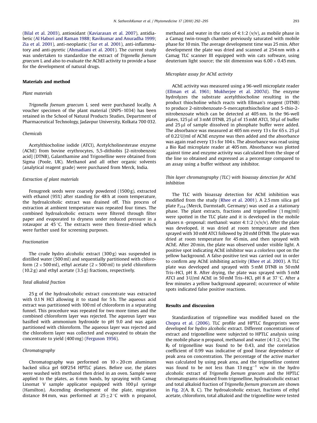([Bilal et al. 2003\)](#page-9-0), antioxidant ([Kaviarasan et al. 2007](#page-9-0)), antidiabetic [\(Al Habori and Raman 1988](#page-9-0); [Ravikumar and Anuradha 1999;](#page-9-0) [Zia et al. 2001\)](#page-9-0), anti-neoplastic [\(Sur et al. 2001](#page-9-0)), anti-inflammatory and anti-pyretic [\(Ahmadiani et al. 2001\)](#page-9-0). The current study was undertaken to standardize the extract of Trigonella foenum graecum L and also to evaluate the AChEI activity to provide a base for the development of natural drugs.

#### Materials and method

#### Plant materials

Trigonella foenum graecum L seed were purchased locally. A voucher specimen of the plant material (SNPS–1034) has been retained in the School of Natural Products Studies, Department of Pharmaceutical Technology, Jadavpur University, Kolkata 700 032.

#### Chemicals

Acetylthiocholine iodide (ATCI), Acetylcholinesterase enzyme (AChE) from bovine erythrocytes, 5,5-dithiobis [2-nitrobenzoic acid] (DTNB), Galanthamine and Trigonelline were obtained from Sigma (Poole, UK). Methanol and all other organic solvents (analytical reagent grade) were purchased from Merck, India.

#### Extraction of plant materials

Fenugreek seeds were coarsely powdered (1500 g), extracted with ethanol (95%) after standing for 48 h at room temperature, the hydroalcoholic extract was drained off. This process of extraction at ambient temperature was repeated four times. The combined hydroalcoholic extracts were filtered through filter paper and evaporated to dryness under reduced pressure in a rotavapor at 45 °C. The extracts were then freeze-dried which were further used for screening purposes.

#### Fractionation

The crude hydro alcoholic extract (300 g) was suspended in distilled water (500 ml) and sequentially partitioned with chloroform  $(2 \times 500 \text{ ml})$ , ethyl acetate  $(2 \times 500 \text{ ml})$  to yield chloroform (10.2 g) and ethyl acetate (3.5 g) fractions, respectively.

#### Total alkaloid fraction

25 g of the hydroalcoholic extract concentrate was extracted with 0.1 N HCl allowing it to stand for 5 h. The aqueous acid extract was partitioned with 100 ml of chloroform in a separating funnel. This procedure was repeated for two more times and the combined chloroform layer was rejected. The aqueous layer was basified with ammonium hydroxide to pH 9.0 and was again partitioned with chloroform. The aqueous layer was rejected and the chloroform layer was collected and evaporated to obtain the concentrate to yield (400 mg) [\(Ferguson 1956](#page-9-0)).

#### Chromatography

Chromatography was performed on  $10 \times 20$  cm aluminum backed silica gel 60F254 HPTLC plates. Before use, the plates were washed with methanol then dried in an oven. Sample were applied to the plates, as 6 mm bands, by spraying with Camag Linomat V sample applicator equipped with  $100 \mu l$  syringe (Hamilton). Ascending development of the plate, migration distance 84 mm, was performed at  $25\pm2$  °C with n propanol, methanol and water in the ratio of  $4:1:2$  ( $v/v$ ), as mobile phase in a Camag twin-trough chamber previously saturated with mobile phase for 10 min. The average development time was 25 min. After development the plate was dried and scanned at 254 nm with a Camag TLC scanner III equipped with win cats software, using deuterium light source; the slit dimension was  $6.00 \times 0.45$  mm.

#### Microplate assay for AChE activity

AChE activity was measured using a 96-well microplate reader ([Ellman et al. 1961](#page-9-0); [Mukherjee et al. 2007d\)](#page-9-0). The enzyme hydrolyzes the substrate acetylthiocholine resulting in the product thiocholine which reacts with Ellman's reagent (DTNB) to produce 2-nitrobenzoate-5-mercaptothiocholine and 5-thio-2 nitrobenzoate which can be detected at 405 nm. In the 96-well plates, 125  $\mu$ l of 3 mM DTNB, 25  $\mu$ l of 15 mM ATCI, 50  $\mu$ l of buffer and 25 µl of sample dissolved in phosphate buffer were added. The absorbance was measured at 405 nm every 13 s for 65 s.  $25 \mu$ of 0.22 U/ml of AChE enzyme was then added and the absorbance was again read every 13 s for 104 s. The absorbance was read using a Bio Rad microplate reader at 405 nm. Absorbance was plotted against time and enzyme activity was calculated from the slope of the line so obtained and expressed as a percentage compared to an assay using a buffer without any inhibitor.

## Thin layer chromatography (TLC) with bioassay detection for AChE inhibition

The TLC with bioassay detection for AChE inhibition was modified from the study ([Rhee et al. 2001](#page-9-0)). A 2.5 mm silica gel plate  $F_{254}$  (Merck, Darmstadt, Germany) was used as a stationary phase. The plant extracts, fractions and trigonelline (1 mg/ml) were spotted in the TLC plate and it is developed in the mobile phases n -proponal: methanol: water 4:1:2  $(v/v/v)$ . After the plate was developed, it was dried at room temperature and then sprayed with 30 mM ATCI followed by 20 mM DTNB. The plate was dried at room temperature for 45 min, and then sprayed with AChE. After 20 min, the plate was observed under visible light. A positive spot indicating AChE inhibitor was a colorless spot on the yellow background. A false-positive test was carried out in order to confirm any AChE inhibiting activity [\(Rhee et al. 2003\)](#page-9-0). A TLC plate was developed and sprayed with 5 mM DTNB in 50 mM Tris–HCl, pH 8. After drying, the plate was sprayed with 5 mM ATCI and  $3$  U/ml AChE in 50 mM Tris–HCl, pH 8 at  $37$  °C. After a few minutes a yellow background appeared; occurrence of white spots indicated false positive reactions.

#### Results and discussion

Standardization of trigonelline was modified based on the [Chopra et al. \(2006\)](#page-9-0). TLC profile and HPTLC fingerprints were developed for hydro alcoholic extract. Different concentrations of extract and trigonelline were subjected to HPTLC analysis using the mobile phase n propanol, methanol and water  $(4:1:2, v/v)$ . The  $R_f$  of trigonelline was found to be 0.43, and the correlation coefficient of 0.99 was indicative of good linear dependence of peak area on concentration. The percentage of the active marker was calculated by using peak area, and the trigonelline content was found to be not less than  $13 \text{ mg g}^{-1}$  w/w in the hydro alcoholic extract of Trigonella foenum graecum and the HPTLC chromatograms obtained from trigonelline, hydroalcoholic extract and total alkaloid fraction of Trigonella foenum graecum are shown in [Fig. 2\(](#page-8-0)A, B, C). The hydroalcoholic extract, fractions of ethyl acetate, chloroform, total alkaloid and the trigonelline were tested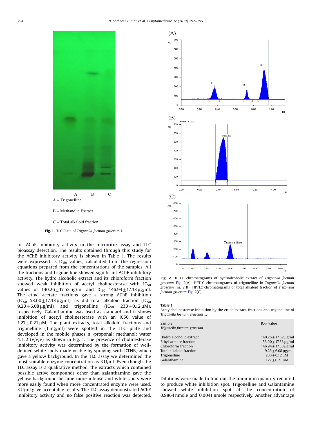<span id="page-8-0"></span>



for AChE inhibitory activity in the microtitre assay and TLC bioassay detection. The results obtained through this study for the AChE inhibitory activity is shown in Table 1. The results were expressed as  $IC_{50}$  values, calculated from the regression equations prepared from the concentrations of the samples. All the fractions and trigonelline showed significant AChE inhibitory activity. The hydro alcoholic extract and its chloroform fraction showed weak inhibition of acetyl cholinesterase with  $IC_{50}$ values of  $140.26 \pm 17.52 \,\mu$ g/ml and IC<sub>50</sub>  $146.94 \pm 17.33 \,\mu$ g/ml. The ethyl acetate fractions gave a strong AChE inhibition  $(IC_{50} 53.00 \pm 17.33 \,\mu g/ml)$ , as did total alkaloid fraction  $(IC_{50} 9.23 \pm 6.08 \,\mu g/ml)$  and trigonelline  $(IC_{50} 233 \pm 0.12 \,\mu M)$ ,  $9.23\pm6.08 \,\mathrm{\upmu g/ml)}$  and trigonelline respectively. Galanthamine was used as standard and it shows inhibition of acetyl cholinesterase with an IC50 value of  $1.27 + 0.21$  µM. The plant extracts, total alkaloid fractions and trigonelline (1 mg/ml) were spotted in the TLC plate and developed in the mobile phases n -proponal: methanol: water 4:1:2  $(v/v/v)$  as shown in Fig. 1. The presence of cholinesterase inhibitory activity was determined by the formation of welldefined white spots made visible by spraying with DTNB, which gave a yellow background. In the TLC assay we determined the most suitable enzyme concentration as 3 U/ml. Even though the TLC assay is a qualitative method, the extracts which contained possible active compounds other than galanthamine gave the yellow background became more intense and white spots were more easily found when more concentrated enzyme were used, 3 U/ml gave acceptable results. The TLC assay demonstrated AChE inhibitory activity and no false positive reaction was detected.



Fig. 2. HPTLC chromatograms of hydroalcoholic extract of Trigonella foenum graecum Fig. 2(A); HPTLC chromatograms of trigonelline in Trigonella foenum graecum Fig. 2(B); HPTLC chromatograms of total alkaloid fraction of Trigonella foenum graecum Fig. 2(C).

Table 1

Acetylcholinesterase Inhibition by the crude extract, fractions and trigonelline of Trigonella foenum graecum L.

| Sample<br>Trigonella foenum graecum | $IC_{50}$ value                   |  |  |
|-------------------------------------|-----------------------------------|--|--|
| Hydro alcoholic extract             | $140.26 \pm 17.52 \,\mu g/ml$     |  |  |
| Ethyl acetate fraction              | $53.00 + 17.33 \,\mathrm{µg/ml}$  |  |  |
| Chloroform fraction                 | $146.94 + 17.33 \,\mathrm{µg/ml}$ |  |  |
| Total alkaloid fraction             | $9.23 + 6.08 \text{ µg/ml}$       |  |  |
| Trigonelline                        | $233 + 0.12 \,\mu M$              |  |  |
| Galanthamine                        | $1.27 + 0.21$ µM.                 |  |  |

Dilutions were made to find out the minimum quantity required to produce white inhibition spot. Trigonelline and Galantamine showed white inhibition spot at the concentration of 0.9864 nmole and 0.0041 nmole respectively. Another advantage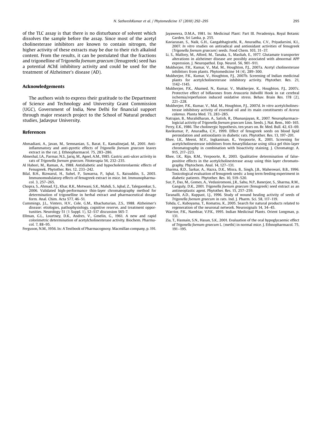<span id="page-9-0"></span>of the TLC assay is that there is no disturbance of solvent which dissolves the sample before the assay. Since most of the acetyl cholinesterase inhibitors are known to contain nitrogen, the higher activity of these extracts may be due to their rich alkaloid content. From the results, it can be postulated that the fractions and trigonelline of Trigonella foenum graecum (fenugreek) seed has a potential AChE inhibitory activity and could be used for the treatment of Alzheimer's disease (AD).

#### Acknowledgements

The authors wish to express their gratitude to the Department of Science and Technology and University Grant Commission (UGC), Government of India, New Delhi for financial support through major research project to the School of Natural product studies, Jadavpur University.

#### References

- Ahmadiani, A., Javan, M., Semnanian, S., Barat, E., Kamalinejad, M., 2001. Antiinflammatory and anti-pyretic effects of Trigonella foenum graecum leaves extract in the rat. J. Ethnopharmacol. 75, 283–286.
- Almeshal, I.A., Parmar, N.S., Jariq, M., Ageel, A.M., 1985. Gastric anti-ulcer activity in rats of Trigonella foenum graecum. Fitoterapia 56, 232–235.
- Al Habori, M., Raman, A., 1988. Antidiabetic and hypocholesterolaemic effects of Fenugreek. Phytother. Res. 12, 233–242.
- Bilal, B.H., Rizwarul, H., Suhel, P., Suwarna, P., Iqbal, S., Raisuddin, S., 2003. Immunomodulatory effects of fenugreek extract in mice. Int. Immunopharmacol. 3, 257–265.
- Chopra, S., Ahmad, F.J., Khar, R.K., Motwani, S.K., Mahdi, S., Iqbal, Z., Talegaonkar, S., 2006. Validated high-performance thin-layer chromatography method for determination of trigonelline in herbal extract and pharmaceutical dosage form. Anal. Chim. Acta 577, 46–51.
- Cummings, J.L., Vinters, H.V., Cole, G.M., Khachaturian, Z.S., 1988. Alzheimer's disease: etiologies, pathophysiology, cognitive reserve, and treatment oppor-
- tunities. Neurology 51 (1 Suppl. 1), S2–S17 discussion S65-7. Ellman, G.L., Lourtney, D.K., Andres, V., Gmelin, G., 1961. A new and rapid colorimetric determination of acetylcholinesterase activity. Biochem. Pharmacol. 7, 88–95.
- Ferguson, N.M., 1956. In: A Textbook of Pharmacognosy. Macmillan company, p. 191.
- Jayaweera, D.M.A., 1981. In: Medicinal Plant: Part III. Peradeniya. Royal Botanic Garden, Sri Lanka, p. 255.
- Kaviarasan, S., Naik, G.H., Gangabhagirathi, R., Anuradha, C.V., Priyadarsini, K.I., 2007. In vitro studies on antiradical and antioxidant activities of fenugreek (Trigonella foenum graecum) seeds. Food Chem. 103, 31–37.
- Li, S., Mallory, M., Alford, M., Tanaka, S., Masliah, E., 1977. Glutamate transporter alterations in alzheimer disease are possibly associated with abnormal APP expression. J. Neuropathol. Exp. Neurol. 56, 901–911.
- Mukherjee, P.K., Kumar, V., Mal, M., Houghton, P.J., 2007a. Acetyl cholinesterase inhibitors from plants. Phytomedicine 14 (4), 289–300.
- Mukherjee, P.K., Kumar, V., Houghton, P.J., 2007b. Screening of Indian medicinal plants for acetylcholinesterase inhibitory activity. Phytother. Res. 21, 1142–1145.
- Mukherjee, P.K., Ahamed, N., Kumar, V., Mukherjee, K., Houghton, P.J., 2007c. Protective effect of biflavones from Araucaria bidwillii Hook in rat cerebral ischemia/reperfusion induced oxidative stress. Behav. Brain Res. 178 (2), 221–228.
- Mukherjee, P.K., Kumar, V., Mal, M., Houghton, P.J., 2007d. In vitro acetylcholinesterase inhibitory activity of essential oil and its main constituents of Acorus calamus. Planta Med. 73, 283–285.
- Natrajan, B., Muralidharan, A., Satish, R., Dhananjayan, R., 2007. Neuropharmacologicial activity of Trigonella foenum graecum Linn. Seeds. J. Nat. Rem., 160-165.
- Perry, E.K., 1986. The cholinergic hypothesis, ten years on. Br. Med. Bull. 42, 63–69. Ravikumar, P., Anuradha, C.V., 1999. Effect of fenugreek seeds on blood lipid peroxidation and antioxidants in diabetic rats. Phytother. Res. 13, 197–201.
- Rhee, I.K., Meent, M.V., Ingkaninan, K., Verpoorte, R., 2001. Screening for acetylcholinesterase inhibitors from Amaryllidaceae using silica gel thin-layer chromatography in combination with bioactivity staining. J. Chromatogr. A. 915, 217–223.
- Rhee, I.K., Rijn, R.M., Verpoorte, R., 2003. Qualitative determination of falsepositive effects in the acetylcholinesterase assay using thin layer chromatography. Phytochem. Anal. 14, 127–131.
- Sharma, R.D., Sarkar, A., Hazra, D.K., Misra, B., Singh, J.B., Maheswari, B.B., 1996. Toxicological evaluation of fenugreek seeds: a long term feeding experiment in diabetic patients. Phytother. Res. 10, 519–520.
- Sur, P., Das, M., Gomes, A., Vedasiromoni, J.R., Sahu, N.P., Banerjee, S., Sharma, R.M., Ganguly, D.K., 2001. Trigonella foenum graecum (fenugreek) seed extract as an antineoplastic agent. Phytother. Res. 15, 257–259.
- Taranalli, A.D., Kuppast, I.J., 1996. Study of wound healing activity of seeds of Trigonella foenum graecum in rats. Ind. J. Pharm. Sci. 58, 117–119.
- Tohda, C., Kuboyama, T., Komatsu, K., 2005. Search for natural products related to regeneration of the neuronal network. Neurosignals 14, 34–45.
- Warrior, P.K., Nambiar, V.P.K., 1995. Indian Medicinal Plants. Orient Longman, p. 131.
- Zia, T., Hasnain, S.N., Hasan, S.K., 2001. Evaluation of the oral hypoglycaemic effect of Trigonella foenum-graecum L. (methi) in normal mice. J. Ethnopharmacol. 75, 191–195.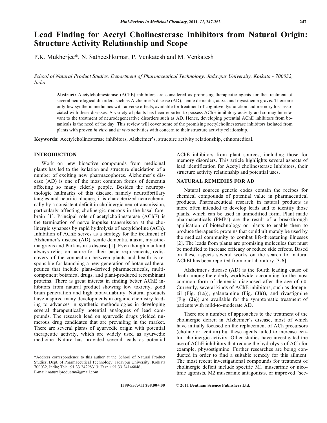# **Lead Finding for Acetyl Cholinesterase Inhibitors from Natural Origin: Structure Activity Relationship and Scope**

P.K. Mukherjee\*, N. Satheeshkumar, P. Venkatesh and M. Venkatesh

*School of Natural Product Studies, Department of Pharmaceutical Technology, Jadavpur University, Kolkata - 700032, India* 

**Abstract:** Acetylcholinesterase (AChE) inhibitors are considered as promising therapeutic agents for the treatment of several neurological disorders such as Alzheimer's disease (AD), senile dementia, ataxia and myasthenia gravis. There are only few synthetic medicines with adverse effects, available for treatment of cognitive dysfunction and memory loss associated with these diseases. A variety of plants has been reported to possess AChE inhibitory activity and so may be relevant to the treatment of neurodegenerative disorders such as AD. Hence, developing potential AChE inhibitors from botanicals is the need of the day. This review will cover some of the promising acetylcholinesterase inhibitors isolated from plants with proven *in vitro* and *in vivo* activities with concern to their structure activity relationship.

**Keywords:** Acetylcholinesterase inhibitors, Alzheimer's, structure activity relationship, ethnomedical.

# **INTRODUCTION**

 Work on new bioactive compounds from medicinal plants has led to the isolation and structure elucidation of a number of exciting new pharmacophores. Alzheimer's disease (AD) is one of the most common forms of dementia affecting so many elderly people. Besides the neuropathologic hallmarks of this disease, namely neurofibrillary tangles and neuritic plaques, it is characterized neurochemically by a consistent deficit in cholinergic neurotransmission, particularly affecting cholinergic neurons in the basal forebrain [1]. Principal role of acetylcholinesterase (AChE) is the termination of nerve impulse transmission at the cholinergic synapses by rapid hydrolysis of acetylcholine (ACh). Inhibition of AChE serves as a strategy for the treatment of Alzheimer's disease (AD), senile dementia, ataxia, myasthenia gravis and Parkinson's disease [1]. Even though mankind always relies on nature for their basic requirements, rediscovery of the connection between plants and health is responsible for launching a new generation of botanical therapeutics that include plant-derived pharmaceuticals, multicomponent botanical drugs, and plant-produced recombinant proteins. There is great interest in finding better AChE inhibitors from natural product showing low toxicity, good brain penetration and high bioavailability. Natural products have inspired many developments in organic chemistry leading to advances in synthetic methodologies in developing several therapeutically potential analogues of lead compounds. The research lead on ayurvedic drugs yielded numerous drug candidates that are prevailing in the market. There are several plants of ayurvedic origin with potential therapeutic activity, which are widely used as ayurvedic medicine. Nature has provided several leads as potential

AChE inhibitors from plant sources, including those for memory disorders. This article highlights several aspects of lead identification for Acetyl cholinesterase Inhibitors, their structure activity relationship and potential uses.

## **NATURAL REMEDIES FOR AD**

 Natural sources genetic codes contain the recipes for chemical compounds of potential value in pharmaceutical products. Pharmaceutical research in natural products is more often intended to develop leads and to identify those plants, which can be used in unmodified form. Plant made pharmaceuticals (PMPs) are the result of a breakthrough application of biotechnology on plants to enable them to produce therapeutic proteins that could ultimately be used by the medical community to combat life-threatening illnesses [2]. The leads from plants are promising molecules that must be modified to increase efficacy or reduce side effects. Based on these aspects several works on the search for natural AChEI has been reported from our laboratory [3-6].

 Alzheimer's disease (AD) is the fourth leading cause of death among the elderly worldwide, accounting for the most common form of dementia diagnosed after the age of 60. Currently, several kinds of AChE inhibitors, such as donepezil (Fig. (**1a**)), galantamine (Fig. (**3b**)), and rivastigmine (Fig. (**2e**)) are available for the symptomatic treatment of patients with mild-to-moderate AD.

 There are a number of approaches to the treatment of the cholinergic deficit in Alzheimer's disease, most of which have initially focused on the replacement of ACh precursors (choline or lecithin) but these agents failed to increase central cholinergic activity. Other studies have investigated the use of AChE inhibitors that reduce the hydrolysis of ACh for example, physostigmine. Further researches are being conducted in order to find a suitable remedy for this ailment. The most recent investigational compounds for treatment of cholinergic deficit include specific M1 muscarinic or nicotinic agonists, M2 muscarinic antagonists, or improved "sec-

<sup>\*</sup>Address correspondence to this author at the School of Natural Product Studies, Dept. of Pharmaceutical Technology, Jadavpur University, Kolkata 700032, India; Tel: +91 33 24298313; Fax: + 91 33 24146046; E-mail: naturalproductm@gmail.com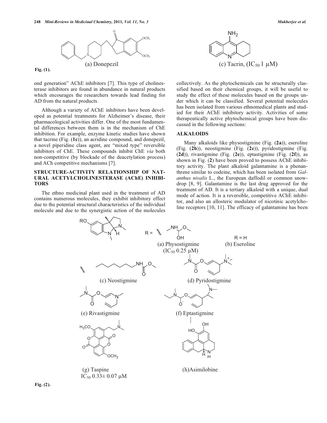

**Fig. (1).** 

ond generation" AChE inhibitors [7]. This type of cholinesterase inhibitors are found in abundance in natural products which encourages the researchers towards lead finding for AD from the natural products.

 Although a variety of AChE inhibitors have been developed as potential treatments for Alzheimer's disease, their pharmacological activities differ. One of the most fundamental differences between them is in the mechanism of ChE inhibition. For example, enzyme kinetic studies have shown that tacrine (Fig. (**1c**)), an acridine compound, and donepezil, a novel piperidine class agent, are "mixed type" reversible inhibitors of ChE. These compounds inhibit ChE *via* both non-competitive (by blockade of the deacetylation process) and ACh competitive mechanisms [7].

# **STRUCTURE-ACTIVITY RELATIONSHIP OF NAT-URAL ACETYLCHOLINESTERASE (AChE) INHIBI-TORS**

 The ethno medicinal plant used in the treatment of AD contains numerous molecules, they exhibit inhibitory effect due to the potential structural characteristics of the individual molecule and due to the synergistic action of the molecules



collectively. As the phytochemicals can be structurally classified based on their chemical groups, it will be useful to study the effect of these molecules based on the groups under which it can be classified. Several potential molecules has been isolated from various ethnomedical plants and studied for their AChE inhibitory activity. Activities of some therapeutically active phytochemical groups have been discussed in the following sections:

### **ALKALOIDS**

 Many alkaloids like physostigmine (Fig. (**2a**)), eseroline (Fig. (**2b**)), neostigmine (Fig. (**2c**)), pyridostigmine (Fig. (**2d**)), rivastigmine (Fig. (**2e**)), eptastigmine (Fig. (**2f**)), as shown in Fig. (**2**) have been proved to possess AChE inhibitory activity. The plant alkaloid galantamine is a phenanthrene similar to codeine, which has been isolated from *Galanthus nivalis* L., the European daffodil or common snowdrop [8, 9]. Galantamine is the last drug approved for the treatment of AD. It is a tertiary alkaloid with a unique, dual mode of action. It is a reversible, competitive AChE inhibitor, and also an allosteric modulator of nicotinic acetylcholine receptors [10, 11]. The efficacy of galantamine has been

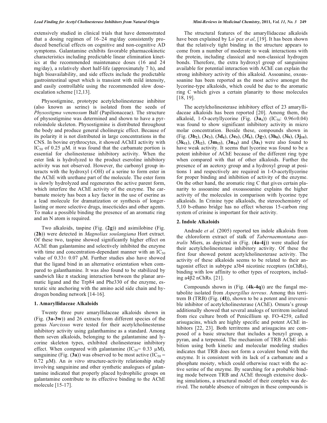extensively studied in clinical trials that have demonstrated that a dosing regimen of 16–24 mg/day consistently produced beneficial effects on cognitive and non-cognitive AD symptoms. Galantamine exhibits favorable pharmacokinetic characteristics including predictable linear elimination kinetics at the recommended maintenance doses (16 and 24 mg/day), a relatively short half-life (approximately 7 h), and high bioavailability, and side effects include the predictable gastrointestinal upset which is transient with mild intensity, and easily controllable using the recommended slow doseescalation scheme [12,13].

 Physostigmine, prototype acetylcholinesterase inhibitor (also known as serine) is isolated from the seeds of *Physostigma venenosum* Balf (Papilionaceae). The structure of physostigmine was determined and shown to have a pyrroloindole skeleton. Physostigmine is distributed throughout the body and produce general cholinergic effect. Because of its polarity it is not distributed in large concentrations in the CNS. In bovine erythrocytes, it showed AChEI activity with IC<sub>50</sub> of 0.25  $\mu$ M. it was found that the carbamate portion is essential for cholinesterase inhibitory activity. When the ester link is hydrolyzed to the product eseroline inhibitory activity was not observed. However, the carbonyl group interacts with the hydroxyl (-OH) of a serine to form ester in the AChE with urethane part of the molecule. The ester form is slowly hydrolyzed and regenerates the active parent form, which interfere the AChE activity of the enzyme. The carbamate moiety has been a key factor in the use of eserine as a lead molecule for dramatization or synthesis of longerlasting or more selective drugs, insecticides and other agents. To make a possible binding the presence of an aromatic ring and an N atom is required.

 Two alkaloids, taspine (Fig. (**2g**)) and asimilobine (Fig. (**2h**)) were detected in *Magnoliax soulangiana* Hort extract. Of these two, taspine showed significantly higher effect on AChE than galantamine and selectively inhibited the enzyme with time and concentration-dependant manner with an  $IC_{50}$ value of  $0.33 \pm 0.07$  µM. Further studies also have showed that the ligand bind in an alternative orientation when compared to galanthamine. It was also found to be stabilized by sandwich like  $\pi$  stacking interaction between the planar aromatic ligand and the Trp84 and Phe330 of the enzyme, esteratic site anchoring with the amino acid side chain and hydrogen bonding network [14-16].

## **1. Amaryllidaceae Alkaloids**

 Twenty three pure amaryllidaceae alkaloids shown in (Fig. (**3a-3w**)) and 26 extracts from different species of the genus *Narcissus* were tested for their acetylcholinesterase inhibitory activity using galanthamine as a standard. Among them seven alkaloids, belonging to the galantamine and lycorine skeleton types, exhibited cholinesterase inhibitory effect. When compared with galantamine  $(IC_{50} = 0.33 \mu M)$ , sanguinine (Fig. (3a)) was observed to be most active ( $IC_{50}$  = 0.72 µM). An *in vitro* structure-activity relationship study involving sanguinine and other synthetic analogues of galantamine indicated that properly placed hydrophilic groups on galantamine contribute to its effective binding to the AChE molecule [15-17].

 The structural features of the amaryllidaceae alkaloids have been explained by Lo´pez *et al*, [19]. It has been shown that the relatively tight binding in the structure appears to come from a number of moderate to weak interactions with the protein, including classical and non-classical hydrogen bonds. Therefore, the extra hydroxyl group of sanguinine available for potential interaction with AChE can explain the strong inhibitory activity of this alkaloid. Assoanine, oxoassoanine has been reported as the most active amongst the lycorine-type alkaloids, which could be due to the aromatic ring C which gives a certain planarity to those molecules [18, 19].

 The acetylcholinesterase inhibitory effect of 23 amaryllidaceae alkaloids has been reported [20]. Among them, the alkaloid, 1-O-acetyllycorine (Fig.  $(3a_1)$ )  $(IC_{50}$ :  $0.96\pm0.04)$ was found to show significant inhibitory activity in micro molar concentration. Beside these, compounds shown in (Fig. (**3b2**), (**3c3**), (**3d4**), (**3e5**), (**3f6**), (**3g7**), (**3h8**), (**3i9**), (**3j10**),  $(3k_{11})$ ,  $(3l_{12})$ ,  $(3m_{13})$ ,  $(3n_{14})$  and  $(3a_{1})$  were also found to have weak activity. It seems that lycorine was found to be a potent inhibitor of AChE because of the different ring type when compared with that of other alkaloids. Further the presence of an acetoxy group and a hydroxyl group at positions 1 and respectively are required in 1-O-acetyllycorine for proper binding and inhibition of activity of the enzyme. On the other hand, the aromatic ring C that gives certain planarity to assoanine and oxoassoanine explains the higher activity of the molecules in comparison with lycorine type alkaloids. In Crinine type alkaloids, the stereochemistry of 5,10 b-ethano bridge has no effect whereas 15-carbon ring system of crinine is important for their activity.

# **2. Indole Alkaloids**

 Andrade *et al.* (2005) reported ten indole alkaloids from the chloroform extract of stalk of *Tabernaemontana australis* Miers, as depicted in (Fig. (**4a-4j**)) were studied for their acetylcholinesterase inhibitory activity. Of these the first four showed potent acetylcholinesterase activity. The activity of these alkaloids seems to be related to their antagonist effect in subtype a3b4 nicotinic receptors (nChRs), binding with low affinity to other types of receptors, including  $a4\beta2$  nChRs. [21].

 Compounds shown in (Fig. (**4k-4q**)) are the fungal metabolite isolated from *Aspergillus terreus*. Among this territrem B (TRB) (Fig. (**4l**)), shown to be a potent and irreversible inhibitor of acetylcholinesterase (AChE). Omura's group additionally showed that several analogs of territrem isolated from rice culture broth of Penicillium sp. FO-4259, called arisugacins, which are highly specific and potent AChE inhibitors [22, 23]. Both territrems and arisugacins are composed of a basic structure that includes a benzyl group, a pyran, and a terpenoid. The mechanism of TRB AChE inhibition using both kinetic and molecular modeling studies indicates that TRB does not form a covalent bond with the enzyme. It is consistent with its lack of a carbamate and a phosphate moiety, which could otherwise react with the active serine of the enzyme. By searching for a probable binding mode between TRB and AChE through extensive docking simulations, a structural model of their complex was derived. The notable absence of nitrogen in these compounds is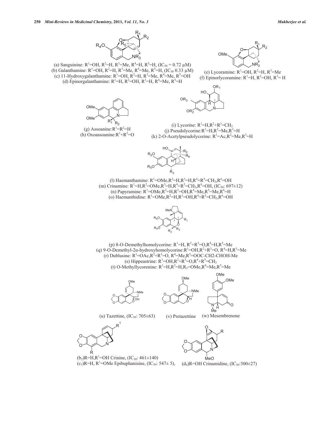

(b) Galanthamine:  $R^1 = OH$ ,  $R^2 = H$ ,  $R^3 = Me$ ,  $R^4 = Me$ ,  $R^5 = H$ ,  $(IC_{50} 0.33 \mu M)$ (c) 11-Hydroxygalanthamine:  $R^1$ =OH,  $R^2$ =H,  $R^3$ =Me,  $R^4$ =Me,  $R^5$ =OH (d) Epinorgalanthamine:  $R^1 = H$ ,  $R^2 = OH$ ,  $R^3 = H$ ,  $R^4 = Me$ ,  $R^5 = H$ 



(e) Lycoramine:  $R^1 = OH$ ,  $R^2 = H$ ,  $R^3 = Me$ (f) Epinorly coramine:  $R^1=H$ ,  $R^2=OH$ ,  $R^3=H$ 





OMe  $R_1$   $R_2$ (g) Assoanine: $R^1=R^2=H$ (h) Oxoassoanine: $R^1 + R^2 = O$ 

(i) Lycorine:  $R^1 = H, R^2 + R^3 = CH_2$ (j) Pseudolycorine: $R^1 = H, R^2 = Me, R^3 = H$ (k) 2-O-Acetylpseudolycorine:  $R^1 = Ac$ ,  $R^2 = Me$ ,  $R^3 = H$ 



(1) Haemanthamine:  $R^1 = OMe, R^2 = H, R^3 = H, R^4 + R^5 = CH_2, R^6 = OH$ (m) Crinamine:  $R^1 = H, R^2 = OMe, R^3 = H, R^4 + R^5 = CH_2, R^6 = OH, (IC_{50}: 697 \pm 12)$ (n) Papyramine:  $R^1 = OMe, R^2 = H, R^3 = OH, R^4 = Me, R^5 = Me, R^6 = H$ (o) Haemanthidine:  $R^1 = OMe, R^2 = H, R^3 = OH, R^4 + R^5 = CH_2, R^6 = OH$ 



(p) 8-O-Demethylhomolycorine:  $R^1=H$ ,  $R^2+R^3=O$ ,  $R^4=H$ ,  $R^5=Me$ (q) 9-O-Demethyl-2 $\alpha$ -hydroxyhomolycorine: $R^1$ =OH, $R^2$ + $R^3$ =O,  $R^4$ =H, $R^5$ =Me (r) Dublusine:  $R^1 = OAc, R^2 + R^3 = O, R^4 = Me, R^5 = OOC - CH2 - CHOH - Me$ (s) Hippeastrine:  $R^1 = OH, R^2 + R^3 = O, R^4 + R^5 = CH_2$ (t) O-Methyllycorenine:  $R^1=H, R^2=H, R_3=OMe, R^4=Me, R^5=Me$ 







(u) Tazettine,  $(IC_{50}: 705 \pm 63)$ 



 $(b_2)R=H, R^1=OH$  Crinine, (IC<sub>50</sub>: 461±140)  $(c_3)R=H, R^1=OMe$  Epibuphanisine,  $(IC_{50}: 547 \pm 5)$ ,

 (v) Pretazettine (w) Mesembrenone



 $\dot{\mathsf{MeO}}$  $(d_4)R=OH$  Crinamidine,  $(IC_{50}:300\pm27)$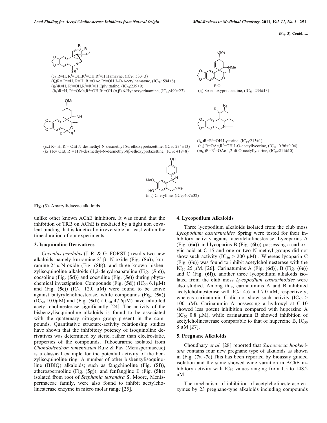**(Fig. 3). Contd…..** 



 $(e_5)R=H, R^1=OH, R^2=OH, R^3=H$  Hamayne, (IC<sub>50</sub>: 533±3)  $(f_6)R = R^3 = H$ , R=H, R<sup>1</sup>=OAc, R<sup>2</sup>=OH 3-O-Acetylhamayne, (IC<sub>50</sub>: 594±8)  $(g_7)R=H, R^1=OH, R^2=R^3=H$  Epivittatine,  $(IC_{50}:239\pm9)$  $(h_8)R=H, R^1=OMe, R^2=OH, R^3=OH (\alpha, \beta)$  6-Hydroxycrinamine,  $(IC_{50}:490\pm27)$ 





(i<sub>9</sub>) 8 $\alpha$ -ethoxypretazettine, (IC<sub>50</sub>: 234±13)



 $(l_{12})R=R^1=OH Lycorine, (IC_{50}:213\pm1)$ (a<sub>1</sub>) R=OAc, R<sup>1</sup>=OH 1-O-acetyllycorine, (IC<sub>50</sub>: 0.96±0.04)  $(m_{13})R=R^1=OAc$  1,2-di-O-acetyllycorine,  $(IC_{50}:211\pm10)$ 

 $(j_{10})$  R= H, R<sup>1</sup>= OEt N-desmethyl-N-desmethyl-8 $\alpha$ -ethoxypretazettine, (IC<sub>50</sub>: 234±13)  $(k_{11})$  R = OEt, R<sup>1</sup> = H N-desmethyl-N-desmethyl-8 $\beta$ -ethoxypretazettine, (IC<sub>50</sub>: 419±8)



 $(n_{14})$  Cherylline,  $(IC_{50}:407\pm32)$ 

**Fig. (3).** Amaryllidaceae alkaloids.

unlike other known AChE inhibitors. It was found that the inhibition of TRB on AChE is mediated by a tight non covalent binding that is kinetically irreversible, at least within the time duration of our experiments.

#### **3. Isoquinoline Derivatives**

 *Cocculus pendulus* (J. R. & G. FORST.) results two new alkaloids namely kurramine-2'-β -N-oxide (Fig. (5a)), kurramine-2'- $\alpha$ -N-oxide (Fig. (5b)), and three known bisbenzylisoquinoline alkaloids (1,2-dehydroapateline (Fig. (**5 c)**), cocsoline (Fig. (**5d**)) and cocsuline (Fig. (**5e**)) during phytochemical investigation. Compounds (Fig.  $(5d)$ ) (IC<sub>50</sub> 6.1 $\mu$ M) and (Fig.  $(5e)$ )  $(IC_{50} 12.0 \mu M)$  were found to be active against butyrylcholinesterase, while compounds (Fig. (**5a**))  $(IC_{50} 10.0 \mu M)$  and  $(Fig. (5d)) (IC_{50} 47.6 \mu M)$  have inhibited acetyl cholinesterase significantly [24]. The activity of the bisbenzylisoquinoline alkaloids is found to be associated with the quaternary nitrogen group present in the compounds. Quantitative structure-activity relationship studies have shown that the inhibitory potency of isoquinoline derivatives was determined by steric, rather than electrostatic, properties of the compounds. Tubocurarine isolated from *Chondodendron tomentosum* Ruiz & Pav (Menispermaceae) is a classical example for the potential activity of the benzylisoquinoline ring. A number of other bisbenzylisoquinoline (BBIQ) alkaloids; such as fangchinoline (Fig. (**5f**)), atherospermoline (Fig. (**5g**)), and fenfangjine E (Fig. (**5h**)) isolated from root of *Stephania tetrandra* S. Moore, Menispermaceae family, were also found to inhibit acetylcholinesterase enzyme in micro molar range [25].

## **4. Lycopodium Alkaloids**

 Three lycopodium alkaloids isolated from the club moss *Lycopodium casuarinoides* Spring were tested for their inhibitory activity against acetylcholinesterase. Lycoparins A (Fig. (**6a**)) and lycoparins B (Fig. (**6b**)) possessing a carboxylic acid at C-15 and one or two N-methyl groups did not show such activity ( $IC_{50} > 200 \mu M$ ). Whereas lycoparin C (Fig. (**6c**)) was found to inhibit acetylcholinesterase with the IC<sub>50</sub> 25 μM. [26]. Carinatumins A (Fig. (**6d**)), B (Fig. (**6e**)) and C (Fig. (**6f**)), another three lycopodium alkaloids isolated from the club moss *Lycopodium casuarinoides* were also studied. Among this, carinatumins A and B inhibited acetylcholinesterase with  $IC_{50}$  4.6 and 7.0  $\mu$ M, respectively, whereas carinatumin C did not show such activity  $(IC_{50} >$ 100  $\mu$ M). Carinatumin A possessing a hydroxyl at C-10 showed less potent inhibition compared with huperzine A  $(IC_{50}$  0.8  $\mu$ M), while carinatumin B showed inhibition of acetylcholinesterase comparable to that of huperzine B,  $IC_{50}$  $8 \mu M$  [27].

# **5. Pregnane Alkaloids**

 Choudhary *et al.* [28] reported that *Sarcococca hookeriana* contains four new pregnane type of alkaloids as shown in (Fig. (**7a -7c**).This has been reported by bioassay guided isolation and the same showed wide variation in AChE inhibitory activity with  $IC_{50}$  values ranging from 1.5 to 148.2  $\mu$ M.

 The mechanism of inhibition of acetylcholinesterase enzymes by 23 pregnane-type alkaloids including compounds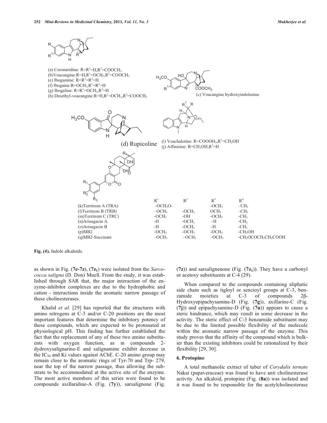

(a) Coronaridine:  $R=R^1=H$ ,  $R^2=COOCH_3$ (b)Voacangine: $R=H, R^1=OCH_3, R^2=COOCH_3$ (e) Ibogamine:  $R=R^1=R^2=H$ (f) Ibogaine: $R = OCH_3$ , $R^1 = R^2 = H$ (g) Ibogaline:  $R=R^1=OCH_3, R^2=H$ (h) Desethyl-voacangine: $R=H, R^1=OCH_3, R^2=COOCH_3$ N N R1  $H<sub>3</sub>CO$ COOCH3 HO (c) Voacangine hydroxyindolenine N H  $H_3CO$   $\sim$   $\sqrt{$  N O (d) Rupicoline N N  $R^1$  R H H (i) Voachalotine:  $R = COOOH_3$ ,  $R<sup>1</sup>=CH_2OH$ (j) Affinisine:  $R = CH_2OH, R^1 = H$ O O ö  $R_1 \sim R_0 \sim 0$  $R_2^2$  $\mathsf{R}_3$  $R_4$ ʻОН OH  $R^1$   $R^2$   $R^3$   $R^4$ (k)Territrem A (TRA)  $-OCH<sub>2</sub>O -OH<sub>3</sub>$   $-CH<sub>3</sub>$ (l)Territrem B (TRB)  $-OCH_3$   $-OCH_3$   $OCH_3$   $-CH_3$ (m)Territrem C (TRC) -OCH<sub>3</sub> -OH -OCH<sub>3</sub> -CH<sub>3</sub> (n)Arisugacin A  $-H$   $-OCH_3$   $-H$   $-CH_3$ (o)Arisugacin B -H -OCH<sub>3</sub> –H -CH<sub>3</sub>  $-9CH_3$   $-9CH_3$   $-9CH_3$   $-9CH_3$   $-CH_2OH$  $\overline{Q}$  +  $\overline{OCH}_3$   $\overline{OCH}_3$   $\overline{OCH}_3$   $\overline{OCH}_3$   $\overline{OCH}_2\overline{CH}_2COOH_3$ 

**Fig. (4).** Indole alkaloids.

as shown in Fig. (**7e-7z**), (**7z**<sub>1</sub>) were isolated from the *Sarcococca saligna* (D. Don) Muell. From the study, it was established through SAR that, the major interaction of the enzyme-inhibitor complexes are due to the hydrophobic and cation - interactions inside the aromatic narrow passage of these cholinesterases.

Khalid *et al.* [29] has reported that the structures with amino nitrogens at C-3 and/or C-20 positions are the most important features that determine the inhibitory potency of these compounds, which are expected to be protonated at physiological pH. This finding has further established the fact that the replacement of any of these two amino substituents with oxygen function, as in compounds 2 dydroxysalignarine-E and salignamine exhibit decrease in the  $IC_{50}$  and Ki values against AChE. C-20 amino group may remain close to the aromatic rings of Tyr-70 and Trp- 279, near the top of the narrow passage, thus allowing the substrate to be accommodated at the active site of the enzyme. The most active members of this series were found to be compounds axillaridine-A (Fig. (**7y**)), sarsalignone (Fig.

 $(7z)$ ) and sarsalignenone (Fig.  $(7z_1)$ ). They have a carbonyl or acetoxy substituents at C-4 (29).

 When compared to the compounds containing aliphatic side chain such as tigloyl or sencioyl groups at C-3, benzamide moieties at  $C-3$  of compounds  $2\beta$ -Hydroxyepipachysamine-D (Fig. (**7g**)), axillarine-C (Fig. (**7j**)) and epipachysamine-D (Fig. (**7u**)) appears to cause a steric hindrance, which may result in some decrease in the activity. The steric effect of C-3 benzamide substituent may be due to the limited possible flexibility of the molecule within the aromatic narrow passage of the enzyme. This study proves that the affinity of the compound which is bulkier than the existing inhibitors could be rationalized by their flexibility [29, 30].

## **6. Protopine**

 A total methanolic extract of tuber of *Corydalis ternate* Nakai (papaveraceae) was found to have anti cholinesterase activity. An alkaloid, protopine (Fig. (**8a**)) was isolated and it was found to be responsible for the acetylcholinesterase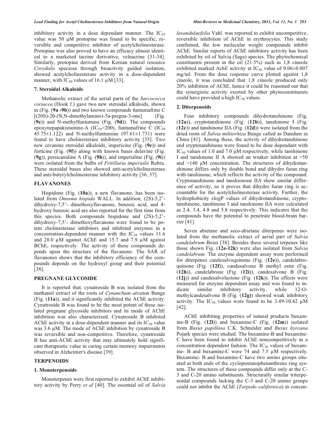inhibitory activity in a dose dependant manner. The  $IC_{50}$ value was  $50 \mu M$  protopine was found to be specific, reversible and competitive inhibitor of acetylcholinesterase. Protopine was also proved to have an efficacy almost identical to a marketed tacrine derivative, velnacrine [31-34]. Similarly, protopine derived from Korean natural resource *Corydalis* speciosa through bioactivity guided isolation, showed acetylcholinesterase activity in a dose-dependent manner, with  $IC_{50}$  values of 16.1  $\mu$ M [33].

# **7. Steroidal Alkaloids**

 Methanolic extract of the aerial parts of the *Sarcococca coriacea* (Hook f.) gave two new steroidal alkaloids, shown in (Fig. (**9a -9b**)) and two known compounds funtumafrine C  $[(20S)-20-(N,N-dimethylamino)-5a-pregna-3-one]$  (Fig. (**9c**)) and N-methylfuntumine (Fig. (**9d**)). The compounds epoxynepapakistamine-A (IC<sub>50</sub>>200), funtumafrine C (IC<sub>50</sub>)  $45.75\pm1.122$ ) and N-methylfuntumine  $(97.61\pm1.731)$  were found to have cholinesterase inhibitory activity [35]. Two new cevanine steroidal alkaloids, impericine (Fig. (**9e**)) and forticine (Fig. (**9f**)) along with known bases delavine (Fig. (**9g**)), persicanidine A (Fig. (**9h**)), and imperialine (Fig. (**9i**)) were isolated from the bulbs of *Fritillaria imperialis* Rubra. These steroidal bases also showed anti-acetylcholinesterase and anti-butyrylcholinesterase inhibitory activity [36, 37].

# **FLAVANONES**

 Hispidone (Fig. (**10a**)), a new flavanone, has been isolated from *Onosma hispida* WALL. In addition, (2S)-5,2' dihydroxy-7,5'- dimethoxyflavanone, benzoic acid, and 4 hydroxy benzoic acid are also reported for the first time from this species. Both compounds hispidone and (2S)-5,2' dihydroxy-7,5'- dimethoxyflavanone were found to be potent cholinesterase inhibitors and inhibited enzymes in a concentration-dependent manner with the  $IC_{50}$  values 11.6 and 28.0  $\mu$ M against AChE and 15.7 and 7.9  $\mu$ M against BChE, respectively. The activity of these compounds depends upon the structure of the flavanone. The SAR of flavanones shows that the inhibitory efficiency of the compounds depends on the hydroxyl group and their potential [38].

## **PREGNANE GLYCOSIDE**

 It is reported that, cynatroside B was isolated from the methanol extract of the roots of *Cynanchum atratum* Bunge (Fig. (**11a**)), and it significantly inhibited the AChE activity. Cynatroside B was found to be the most potent of these isolated pregnane glycoside inhibitors and its mode of AChE inhibition was also characterized. Cynatroside B inhibited AChE activity in a dose-dependent manner and its  $IC_{50}$  value was  $3.6 \mu M$ . The mode of AChE inhibition by cynatroside B was reversible and non-competitive. Therefore, cynatroside B has anti-AChE activity that may ultimately hold significant therapeutic value in curing certain memory impairments observed in Alzheimer's disease [39].

## **TERPENOIDS**

### **1. Monoterpenoids**

 Monoterpenes were first reported to exhibit AChE inhibitory activity by Perry *et al* [40]. The essential oil of *Salvia*  *lavandulaefolia* Vahl. was reported to exhibit uncompetitive, reversible inhibition of AChE in erythrocytes. This study confirmed, the low molecular weight compounds inhibit AChE. Similar reports of AChE inhibitory activity has been exhibited by oil of Salvia (Sage) species. The phytochemical constituents present in the oil (21.5%) such as 1,8 cineole exhibited marked AchE activity at  $IC_{50}$  value of  $0.06\pm0.007$ mg/ml. From the dose response curve plotted against 1,8 cineole, it was concluded that 1,8 cineole produced only 20% inhibition of AChE, hence it could be reasoned out that the synergistic activity exerted by other phytoconstituents could have provided a high  $IC_{50}$  values.

### **2. Diterpenoids**

 Four inhibitory compounds dihydrotanshinone (Fig. (**12a**)), cryptotanshinone (Fig. (**12b**)), tanshinone I (Fig. (**12c**)) and tanshinone IIA (Fig. (**12d**)) were isolated from the dried roots of *Salvia miltiorhiza* Bunge called as Danshen in China [41]. Among these, the activity of dihydrotanshinone and cryptotanshinone were found to be dose dependant with  $IC_{50}$  values of 1.0 and 7.0  $\mu$ M respectively, while tanshinone I and tanshinone II A showed an weaker inhibition at >50 and  $>140$  µM concentration. The structures of dihydrotanshinone differs only by double bond and dihydro furan ring with tanshinone, which reflects the activity of the compound. Cryptotanshinone and tanshionone IIA show similar difference of activity, so it proves that dihydro furan ring is accountable for the acetylcholinesterase activity. Further, the hydrophobicity clogP values of dihydrotanshinone, cryptotanshinone, tanshinone I and tanshinone IIA were calculated as 2.4, 3.4, 4.8 and 5.8 respectively. This indicates that the compounds have the potential to penetrate blood-brain barrier [41].

 Seven abietane and seco-abietane diterpenes were isolated from the methanolic extract of aerial part of *Salvia candelabrum* Boiss [38]. Besides these several terpenes like those shown Fig. (**12e-12k**) were also isolated from *Salvia candelabrum.* The enzyme dependent assay were performed for diterpenes candesalvoquinone (Fig. (**12e**)), candelabroquinone (Fig. (**12f**)), candesalvone B methyl ester (Fig. (**12h**)), candelabrone (Fig. (**12i**)), candesalvone B (Fig. (**12j**)) and candesalvolactone (Fig. (**12k**)). The effects were measured for enzyme dependent assay and was found to indicate similar inhibitory activity, while 12-Omethylcandesalvone B (Fig. (**12g)**) showed weak inhibitory activity. The IC<sub>50</sub> values were found to be 3.49-10.42  $\mu$ M [42].

 AChE inhibiting properties of natural products buxamine-B (Fig. (**12l**)) and buxamine-C (Fig. (**12m**)) isolated from *Buxus papillosa* C.K. Schneider and *Buxus hyrcana* Pojark species were studied. The buxamine-B and buxamine-C have been found to inhibit AChE noncompetitively in a concentration dependent fashion. The  $IC_{50}$  values of buxamine- B and buxamine-C were  $74$  and  $7.5 \mu M$  respectively. Buxamine- B and buxamine-C have two amino groups situated at both ends of the cyclopentanophenanthrene ring system. The structures of these compounds differ only at the C-3 and C-20 amino substituents. Structurally similar triterpenoidal compounds lacking the C-3 and C-20 amino groups could not inhibit the AChE (*Torpedo californica*) in concen-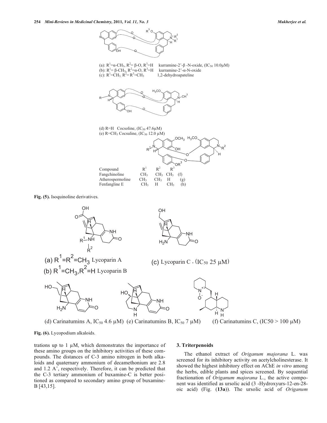

(a):  $R^1 = \alpha$ -CH<sub>3</sub>,  $R^2 = \beta$ -O,  $R^3$ kurramine-2'-β -N-oxide, (IC<sub>50</sub> 10.0μM) (b):  $R^1 = \beta$ -CH<sub>3</sub>,  $R^2 = \alpha$ -O,  $R^3$  $=$ H kurramine-2'- $\alpha$ -N-oxide (c):  $R^1 = CH_3$ ,  $R^2 = R^3$ 1,2-dehydroapateline



(d) R=H Cocsoline,  $(IC_{50} 47.6 \mu M)$ (e) R=CH<sub>3</sub> Cocsuline,  $(IC_{50} 12.0 \mu M)$ 



**Fig. (5).** Isoquinoline derivatives.



(d) Carinatumins A, IC<sub>50</sub> 4.6 μM) (e) Carinatumins B, IC<sub>50</sub> 7 μM) (f) Carinatumins C, (IC50 > 100 μM)

**Fig. (6).** Lycopodium alkaloids.

trations up to 1  $\mu$ M, which demonstrates the importance of these amino groups on the inhibitory activities of these compounds. The distances of C-3 amino nitrogen in both alkaloids and quaternary ammonium of decamethonium are 2.8 and 1.2 A˚, respectively. Therefore, it can be predicted that the C-3 tertiary ammonium of buxamine-C is better positioned as compared to secondary amino group of buxamine-B [43,15].

### **3. Triterpenoids**

 The ethanol extract of *Origanum majorana* L. was screened for its inhibitory activity on acetylcholinesterase. It showed the highest inhibitory effect on AChE *in vitro* among the herbs, edible plants and spices screened. By sequential fractionation of *Origanum majorana* L., the active component was identified as ursolic acid (3 -Hydroxyurs-12-en-28 oic acid) (Fig. (**13a**)). The ursolic acid of *Origanum*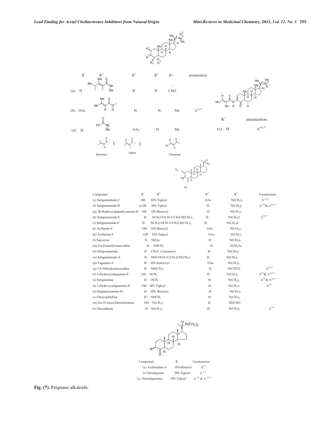Me

Me N H O

 $\mathbb{R}^1$ 

Me ĴĹ

unsaturation

H H

 $MeV$  Na<sub>21</sub>

R1  $\frac{2}{1}$ 



H H Me  $\Delta^{14,15}$ 

OAc H Me

 $R^4$   $R^5$  unsaturation

 $\bar{\epsilon}$ 

 (a) H Nb<br>-Me O H H CHO Me O

ĨĪ.

 $(b)$  OAc Me N

 $R<sup>1</sup>$ 

(d) H



Senecioyl **Tigalog** 



 $\ddot{\phantom{0}}$ 

 $R^2$   $R^3$   $R^4$ 

.<br>H Cinnamoyl

H

. الر

|            | $(c)$ H |  | $\Delta^{14,15}$ |
|------------|---------|--|------------------|
|            |         |  |                  |
|            |         |  |                  |
| <b>A A</b> |         |  |                  |

R4

|                                |                  | $\mathsf{r}_3$              |       |                                  |                                       |
|--------------------------------|------------------|-----------------------------|-------|----------------------------------|---------------------------------------|
| Compound                       | R <sup>1</sup>   | $R^2$                       | $R^3$ | R <sup>4</sup>                   | Unsaturation                          |
| (e) Salignenamide-C            | OH<br>HN-Tigloyl |                             | OAc   | NCH <sub>3</sub> ) <sub>2</sub>  | $\Delta$ $^{14,15}$                   |
| (f) Salignenamide-D            | $\alpha$ -OH     | HN-Tigloyl                  | H     | $N(CH_3)$                        | $\Delta$ $^{4,5} \&$ $\Delta^{16,17}$ |
| (g) 2β-Hydroxyepipachysamine-D | OH               | HN-Benzoyl                  | Н     | $N(CH_3)$                        |                                       |
| (h) Salignenamide-E            | Н                | $NCH_3COCH= CCH_3CH(CH_3),$ | Н     | $N(CH_3)2$                       | $\Delta^{16,17}$                      |
| (i) Salignenamide-F            | Н                | $NCH_3COCH= CCH_3CH(CH_3)$  | H     | $N(CH_3)2$                       |                                       |
| (i) Axillarine-C               | OH               | HN-Benzoyl                  | OAc   | $N(CH_3)$                        |                                       |
| (k) Axillarine-F               | ΟH               | HN-Tigloyl                  | OAc   | $N(CH_3)$                        |                                       |
| (1) Sarcorine                  | H                | NHAc                        | Н     | $N(CH_3)$                        |                                       |
| (m) Na-Demethylsaracodine      | Н                | NHCH <sub>3</sub>           | Н     | NCH <sub>3</sub> Ac              |                                       |
| (n) Saligcinnamide             | Н                | CH <sub>3</sub> N-Cinnamoyl | Н     | N(CH <sub>3</sub> ) <sub>2</sub> |                                       |
| (o) Salignenamide-A            | Н                | $NHCOCH=C(CH_3)CH(CH_3)$    | Н     | $N(CH_3)$                        |                                       |
| (p) Vaganine-A                 | Н                | HN-Senecioyl                | OAc   | $N(CH_3)$                        |                                       |
| (q) 5,6-Dehydrosarconidine     | Н                | NH(CH <sub>3</sub> )        | H     | N(CH3)2                          | $\Lambda^{16,17}$                     |
| (r) 2-Dydroxysalignarine-E     | OН               | OCH <sub>3</sub>            | Н     | $N(CH_3)$                        | $\Delta^{5.6} \& \, \Delta^{16,17}$   |
| (s) Salignamine                | Н                | OCH <sub>3</sub>            | Н     | $N(CH_3)$                        | $\Lambda^{5.6}$ & $\Lambda^{16,17}$   |
| (t) 2-Hydroxysalignamine-E     | <b>OH</b>        | HN-Tigloyl                  | Н     | $N(CH_3)$                        | $\Lambda^{4,5}$                       |
| (u) Epipachysamine-D           | Н                | HN-Benzoyl                  | H     | $N(CH_3)$                        |                                       |
| (v) Dictyophlebine             | Н                | NHCH <sub>3</sub>           | Н     | $N(CH_3)$                        |                                       |
| (w) Iso-N-formylchoneformine   | OН               | $N(CH_3)$                   | H     | <b>NHCHO</b>                     |                                       |
| (x) Sarcodinine                | Н                | $N(CH_3)$                   | Н     | $N(CH_3)$                        | $\Lambda^{5,6}$                       |

 $\overline{a}$ 

R1

H O



(y) Axillaridine-A HN-Benzoyl  $\Delta^{2,3}$ <br>(z) Sarsalignone HN-Tigloyl  $\Delta^{5,6}$  $(z)$  Sarsalignone HN-Tigloyl



**Fig. (7).** Pregnane alkaloids.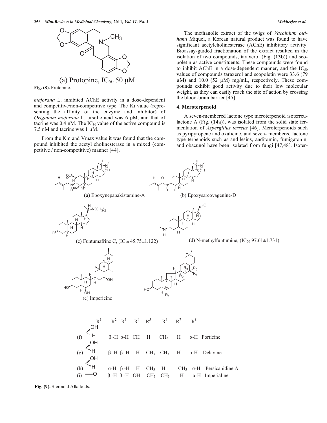

**Fig. (8).** Protopine.

*majorana* L. inhibited AChE activity in a dose-dependent and competitive/non-competitive type. The Ki value (representing the affinity of the enzyme and inhibitor) of *Origanum majorana* L. ursolic acid was 6 pM, and that of tacrine was  $0.4$  nM. The IC<sub>50</sub> value of the active compound is 7.5 nM and tacrine was  $1 \mu$ M.

 From the Km and Vmax value it was found that the compound inhibited the acetyl cholinesterase in a mixed (competitive / non-competitive) manner [44].

 The methanolic extract of the twigs of *Vaccinium oldhami* Miquel, a Korean natural product was found to have significant acetylcholinesterase (AChE) inhibitory activity. Bioassay-guided fractionation of the extract resulted in the isolation of two compounds, taraxerol (Fig. (**13b**)) and scopoletin as active constituents. These compounds were found to inhibit AChE in a dose-dependent manner, and the  $IC_{50}$ values of compounds taraxerol and scopoletin were 33.6 (79  $\mu$ M) and 10.0 (52  $\mu$ M) mg/mL, respectively. These compounds exhibit good activity due to their low molecular weight, as they can easily reach the site of action by crossing the blood-brain barrier [45].

# **4. Meroterpenoid**

 A seven-membered lactone type meroterpenoid isoterreulactone A (Fig. (**14a**)), was isolated from the solid state fermentation of *Aspergillus terreus* [46]. Meroterpenoids such as pyripyropene and oxalicine, and seven- membered lactone type terpenoids such as andilesins, anditomin, fumigatonin, and obacunol have been isolated from fungi [47,48]. Isoter-



**Fig. (9).** Steroidal Alkaloids.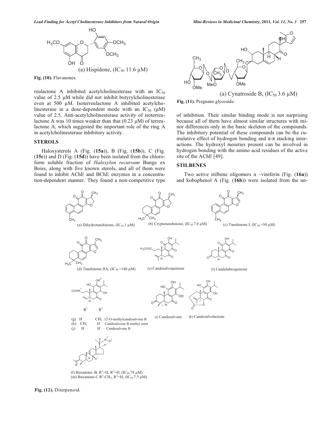

**Fig. (10).** Flavanones.

reulactone A inhibited acetylcholinesterase with an  $IC_{50}$ value of  $2.5 \mu M$  while did not inhibit butyrylcholinesterase even at 500 µM. Isoterreulactone A inhibited acetylcholinesterase in a dose-dependent mode with an  $IC_{50}$  ( $\mu$ M) value of 2.5. Anti-acetylcholinesterase activity of isoterreulactone A was 10 times weaker than that  $(0.23 \mu M)$  of terreulactone A, which suggested the important role of the ring A in acetylcholinesterase inhibitory activity.

# **STEROLS**

 Haloxysterols A (Fig. (**15a**)), B (Fig. (**15b**)), C (Fig. (**15c**)) and D (Fig. (**15d**)) have been isolated from the chloroform soluble fraction of *Haloxylon recurvum* Bunge ex Boiss, along with five known sterols, and all of them were found to inhibit AChE and BChE enzymes in a concentration-dependent manner. They found a non-competitive type



**Fig. (11).** Pregnane glycoside.

of inhibition. Their similar binding mode is not surprising because all of them have almost similar structures with minor differences only in the basic skeleton of the compounds. The inhibitory potential of these compounds can be the cumulative effect of hydrogen bonding and  $\pi$ - $\pi$  stacking interactions. The hydroxyl moieties present can be involved in hydrogen bonding with the amino acid residues of the active site of the AChE [49].

### **STILBENES**

Two active stilbene oligomers  $\alpha$  -viniferin (Fig. (16a)) and kobophenol A (Fig. (**16b**)) were isolated from the un-



(1) Buxamine–B,  $R^1$ =H,  $R^2$ =H, (IC<sub>50</sub>74 µM) (m) Buxamine-C R<sup>1</sup>-CH<sub>3</sub>, R<sup>2</sup>=H, (IC<sub>50</sub>7.5 μM)

**Fig. (12).** Diterpenoid.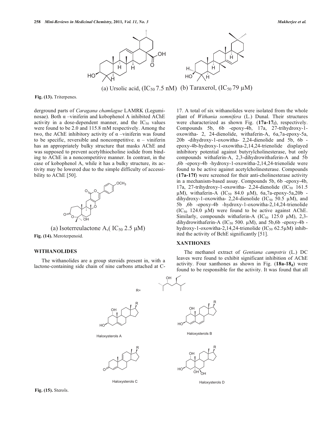HС

H (a) Ursolic acid,  $(IC_{50} 7.5 \text{ nM})$  (b) Taraxerol,  $(IC_{50} 79 \text{ µM})$ 

**Fig. (13).** Triterpenes.

derground parts of *Caragana chamlague* LAMRK (Leguminosae). Both  $\alpha$  –viniferin and kobophenol A inhibited AChE activity in a dose-dependent manner, and the  $IC_{50}$  values were found to be 2.0 and 115.8 mM respectively. Among the two, the AChE inhibitory activity of  $\alpha$  –viniferin was found to be specific, reversible and noncompetitive.  $\alpha$  – viniferin has an appropriately bulky structure that masks AChE and was supposed to prevent acetylthiocholine iodide from binding to AChE in a noncompetitive manner. In contrast, in the case of kobophenol A, while it has a bulky structure, its activity may be lowered due to the simple difficulty of accessibility to AChE [50].



**Fig. (14).** Meroterpenoid. (a) Isoterreulactone A,  $IC_{50}$  2.5  $\mu$ M)

## **WITHANOLIDES**

 The withanolides are a group steroids present in, with a lactone-containing side chain of nine carbons attached at C-

17. A total of six withanolides were isolated from the whole plant of *Withania somnifera* (L.) Dunal. Their structures were characterized as shown Fig. (**17a-17f**), respectively. Compounds 5b, 6b -epoxy-4b, 17a, 27-trihydroxy-1 oxowitha- 2, 24-dienolide, withaferin-A, 6a,7a-epoxy-5a, 20b -dihydroxy-1-oxowitha- 2,24-dienolide and 5b, 6b epoxy-4b-hydroxy-1-oxowitha-2,14,24-trienolide displayed inhibitory potential against butyrylcholinesterase, but only compounds withaferin-A, 2,3-dihydrowithaferin-A and 5b ,6b -epoxy-4b -hydroxy-1-oxowitha-2,14,24-trienolide were found to be active against acetylcholinesterase. Compounds (**17a-17f**) were screened for their anti-cholinesterase activity in a mechanism-based assay. Compounds 5b, 6b -epoxy-4b, 17a, 27-trihydroxy-1-oxowitha- 2,24-dienolide  $(IC_{50} 161.5$  $\mu$ M), withaferin-A (IC<sub>50</sub> 84.0  $\mu$ M), 6a,7a-epoxy-5a,20b dihydroxy-1-oxowitha- 2,24-dienolide (IC<sub>50</sub> 50.5  $\mu$ M), and 5b ,6b -epoxy-4b -hydroxy-1-oxowitha-2,14,24-trienolide  $(IC_{50}$  124.0  $\mu$ M) were found to be active against AChE. Similarly, compounds withaferin-A (IC<sub>50</sub> 125.0  $\mu$ M), 2,3dihydrowithaferin-A (IC<sub>50</sub> 500.  $\mu$ M), and 5b,6b -epoxy-4b hydroxy-1-oxowitha-2,14,24-trienolide  $(IC_{50} 62.5 \mu M)$  inhibited the activity of BchE significantly [51].

 The methanol extract of *Gentiana campstris* (L.) DC leaves were found to exhibit significant inhibition of AChE

# **XANTHONES**

activity. Four xanthones as shown in Fig. (18a-18<sub>d</sub>) were found to be responsible for the activity. It was found that all OH  $R =$ R R OH OH Haloxysterols A Haloxysterols B R R OH OH OH

Haloxysterols C Haloxysterols D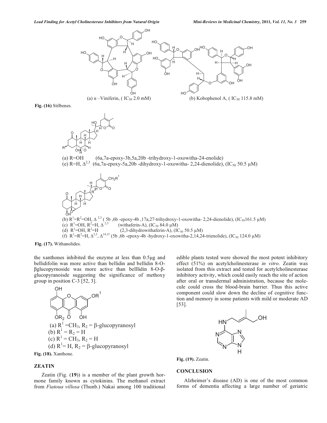

**Fig. (16)** Stilbenes.



 $(a)$  R=OH (6a,7a-epoxy-3b,5a,20b -trihydroxy-1-oxowitha-24-enolide) (e) R=H,  $\Delta^{2,3}$  (6a,7a-epoxy-5a,20b -dihydroxy-1-oxowitha- 2,24-dienolide), (IC<sub>50</sub> 50.5 µM)



**Fig. (17).** Withanolides.

the xanthones inhibited the enzyme at less than  $0.5\mu$ g and bellidifolin was more active than bellidin and bellidin 8-O-  $\beta$ glucopyrnoside was more active than belllidin 8-O- $\beta$ glucopyranoisde suggesting the significance of methoxy group in position C-3 [52, 3].

OR2 OH O OH OR<sup>1</sup> (a) R1 =CH3, R2 = --glucopyranosyl (b) R1 = R2 = H (c) R1 = CH3, R2 = H (d) R1 = H, R2 = --glucopyranosyl N

**Fig. (18).** Xanthone.

# **ZEATIN**

 Zeatin (Fig. (**19**)) is a member of the plant growth hormone family known as cytokinins. The methanol extract from *Fiatoua villosa* (Thunb.) Nakai among 100 traditional edible plants tested were showed the most potent inhibitory effect (51%) on acetylcholinesterase *in vitro*. Zeatin was isolated from this extract and tested for acetylcholinesterase inhibitory activity, which could easily reach the site of action after oral or transdermal administration, because the molecule could cross the blood-brain barrier. Thus this active component could slow down the decline of cognitive function and memory in some patients with mild or moderate AD [53].



**Fig. (19).** Zeatin.

## **CONCLUSION**

 Alzheimer's disease (AD) is one of the most common forms of dementia affecting a large number of geriatric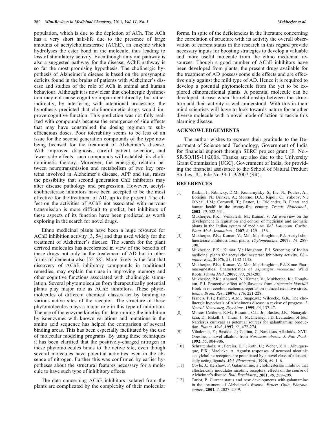population, which is due to the depletion of ACh. The ACh has a very short half-life due to the presence of large amounts of acetylcholinesterase (AChE), an enzyme which hydrolyses the ester bond in the molecule, thus leading to loss of stimulatory activity. Even though amyloid pathway is also a suggested pathway for the disease, AChE pathway is so far the most promising hypothesis. The cholinergic hypothesis of Alzheimer's disease is based on the presynaptic deficits found in the brains of patients with Alzheimer's disease and studies of the role of ACh in animal and human behaviour. Although it is now clear that cholinergic dysfunction may not cause cognitive impairment directly, but rather indirectly, by interfering with attentional processing, the hypothesis predicted that cholinomimetic drugs would improve cognitive function. This prediction was not fully realized with compounds because the emergence of side effects that may have constrained the dosing regimen to subefficacious doses. Poor tolerability seems to be less of an issue for the second generation compounds of the type now being licensed for the treatment of Alzheimer's disease. With improved diagnosis, careful patient selection, and fewer side effects, such compounds will establish its cholinomimetic therapy. Moreover, the emerging relation between neurotransmission and metabolism of two key proteins involved in Alzheimer's disease, APP and tau, raises the possibility that second generation ChE inhibitors may alter disease pathology and progression. However, acetylcholinesterase inhibitors have been accepted to be the most effective for the treatment of AD, up to the present. The effect on the activities of AChE not associated with nervous transmission is more difficult to predict, but inhibitors of these aspects of its function have been predicted as worth exploring in the search for novel drugs.

 Ethno medicinal plants have been a huge resource for AChE inhibition activity [3, 54] and thus used widely for the treatment of Alzheimer's disease. The search for the plant derived molecules has accelerated in view of the benefits of these drugs not only in the treatement of AD but in other forms of dementia also [55-58]. More likely is the fact that discovery of AChE inhibitory compounds in traditional remedies, may explain their use in improving memory and other cognitive functions associated with cholinergic stimulation. Several phytomolecules from therapeutically potential plants play major role as AChE inhibitors. These phytomolecules of different chemical classes act by binding to various active sites of the receptor. The structure of these phytomolecules plays a major role in this type of inhibition. The use of the enzyme kinetics for determining the inhibition by isoenzymes with known variations and mutations in the amino acid sequence has helped the comparison of several binding areas. This has been especially facilitated by the use of molecular modeling programs. By using these techniques it has been clarified that the positively-charged nitrogen in these phytomolecules binds to the active site, even though several molecules have potential activities even in the absence of nitrogen. Further this was confirmed by earlier hypotheses about the structural features necessary for a molecule to have such type of inhibitory effects.

 The data concerning AChE inhibitors isolated from the plants are complicated by the complexity of their molecular forms. In spite of the deficiencies in the literature concerning the correlation of structure with its activity the overall observation of current status in the research in this regard provide necessary inputs for boosting strategies to develop a valuable and more useful molecule from the ethno medicinal resources. Though a good number of AChE inhibitors have been developed from plants, the present drugs available for the treatment of AD possess some side effects and are effective only against the mild type of AD. Hence it is required to develop a potential phytomolecule from the yet to be explored ethnomedicinal plants. A potential molecule can be developed at ease when the relationship between the structure and their activity is well understood. With this in their mind scientists will have to look towards nature for another diverse molecule with a novel mode of action to tackle this alarming disease.

## **ACKNOWLEDGEMENTS**

 The author wishes to express their gratitude to the Department of Science and Technology, Government of India for financial support through SERC project grant [F. No.- SR/SO/HS-11/2008. Thanks are also due to the University Grant Commission [UGC], Government of India, for providing the financial assistance to the School of Natural Product Studies, JU. File No 33-119/2007 (SR).

### **REFERENCES**

- [1] Raskin, I.; Ribnicky, D.M.; Komarnytsky, S.; Ilic, N.; Poulev, A.; Borisjuk, N.; Brinker, A.; Moreno, D.A.; Ripoll, C.; Yakoby, N.; O'Neal, J.M.; Cornwell, T.; Pastor, I.; Fridlender, B. Plants and human health in the twenty-first century. *Trends. Biotechnol*., **2002**, *20*, 522-531.
- [2] Mukherjee, P.K.; Venkatesh, M.; Kumar, V. An overview on the development in regulation and control of medicinal and aromatic plants in the Indian system of medicine. *Bol. Latinoam. Caribe. Plant. Med. Aromaticas*., **2007**, *6*, 129 – 136.
- [3] Mukherjee, P.K.; Kumar, V.; Mal, M.; Houghton, P.J. Acetyl cholinesterase inhibitors from plants. *Phytomedicine*, **2007**a, *14*, 289- 300.
- [4] Mukherjee, P.K.; Kumar, V.; Houghton, P.J. Screening of Indian medicinal plants for acetyl cholinesterase inhibitory activity. *Phytother. Res*., **2007**b, *21*, 1142-1145.
- [5] Mukherjee, P.K.; Kumar, V.; Mal, M.; Houghton, P.J. Some Pharmacognostical Characteristics of *Asparagus recemosus* Willd Roots. *Planta Med*., **2007**c, *73*, 283-285.
- [6] Mukherjee, P.K.; Ahamed, N.; Kumar, V.; Mukherjee, K.; Houghton, P.J. Protective effect of biflavones from *Araucaria bidwillii* Hook in rat cerebral ischemia/reperfusion induced oxidative stress. *Behav. Brain. Res*., **2007**d, *178*, 221-228.
- [7] Francis, P.T.; Palmer, A.M.; Snape,M.; Wilcockc, G.K. The cholinergic hypothesis of Alzheimer's disease: a review of progress. *J. Neurol. Neurosurg. Psychiatr*., **1999**, *66*, 137-47.
- [8] Moraes-Cerdeira, R.M.; Burandt, C.L. Jr.; Bastos, J.K.; Nanayakkara, D.; Mikell, J.; Thurn, J.; McChesney, J.D. Evaluation of four Narcissus cultivars as potential sources for galanthamine production. *Planta. Med.*, **1997**, *63*, 472-274.
- [9] Viladomat, F.; Bastida, J.; Codina, C. Narcissus Alkaloids. XVII. Obesine, a novel alkaloid from *Narcissus obesus*. *J. Nat. Prod.,* **1992**, *55*, 804-806.
- [10] Schrattenholz, A.; Pereira, E.F.; Roth, U.; Weber, K.H.; Albuquerque, E.X.; Maelicke, A. Agonist responses of neuronal nicotinic acetylcholine receptors are potentiated by a novel class of allosterically acting ligands. *Mol. Pharmacol*., **1996**, *49*, 1–6.
- [11] Coyle, J.; Kershaw, P. Galantamine, a cholinesterase inhibitor that allosterically modulates nicotinic receptors: effects on the course of Alzheimer's disease. *Biol. Psychiatry*., **2001**, *49*, 289–299.
- [12] Tariot, P. Current status and new developments with galantamine in the treatment of Alzheimer's disease. *Expert. Opin. Pharmacother*., **2001,** *2*, 2027–2049.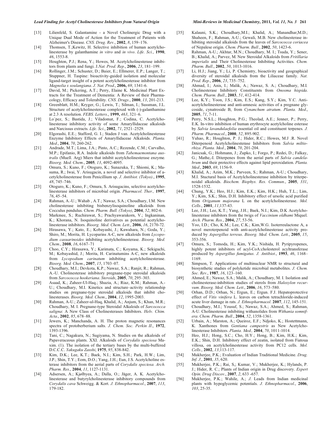- [13] Lilienfeld, S. Galantamine a Novel Cholinergic Drug with a Unique Dual Mode of Action for the Treatment of Patients with Alzheimer's Disease. *CNS. Drug. Rev*., **2002**, *8*, 159–176.
- [14] Thomsen, T.; Kewitz, H. Selective inhibition of human acetylcholinesterase by galanthamine *in vitro* and *in vivo*. *Life. Sci.*, **1990**, *46*, 1553-8.
- [15] Houghton, P.J.; Rena, Y.; Howes, M. Acetylcholinesterase inhibitors from plants and fungi. J.*Nat. Prod. Rep*., **2006**, *23*, 181–199.
- [16] Rollinger, J.M.; Schuster, D.; Baier, E.; Ellmerer, E.P.; Langer, T.; Stuppner, H. Taspine: bioactivity-guided isolation and molecular ligand-target insight of a potent acetylcholinesterase inhibitor from *Magnolia x soulangiana*. *J. Nat. Prod*., **2006,** *69*, 1341-6.
- [17] David, M.; Pickering, A.T.; Perry, Elaine K. Medicinal Plant Extracts for the Treatment of Dementia: A Review of their Pharmacology, Efficacy and Tolerability. *CNS. Drugs*., **2000**, *13*, 201-213.
- [18] Greenblatt, H.M.; Kryger, G.; Lewis, T.; Silman, I.; Sussman, J.L. Structure of acetylcholinesterase complexed with (-)-galanthamine at 2.3 A resolution. *FEBS. Letters*., **1999,** *463*, 321–6.
- [19] Lo´pez, S.; Bastida, J.; Viladomat, F.; Codina, C. Acetylcholinesterase inhibitory activity of some Amaryllidaceae alkaloids and Narcissus extracts. *Life. Sci*., **2002**, *71*, 2521–2529.
- [20] Elgorashi, E.E.; Stafford, G. I.; Staden J van. Acetylcholinesterase Enzyme Inhibitory Effects of Amaryllidaceae Alkaloids. *Planta. Med*., **2004**, *70*, 260-262.
- [21] Andrade, M.T.; Lima, J.A.; Pinto, A.C.; Rezende, C.M.; Carvalho, M.P.; Epifanio, R.A. Indole alkaloids from *Tabemaemontana australis* (Muell. Arg) Miers that inhibit acetylcholinesterase enzyme*. Bioorg. Med. Chem*., **2005***, 13*, 4092-4095.
- [22] Omura, S.; Kuno, F.; Otoguro, K.; Sunazuka, T.; Shiomi, K.; Masuma, R.; Iwai, Y. Arisugacin, a novel and selective inhibitor of acetylcholinesterase from Penicillium sp. *J. Antibiot. (Tokyo)*., **1995**, *48*, 745–746.
- [23] Otoguro, K.; Kuno, F.; Omura, S. Arisugacins, selective acetylcholinesterase inhibitors of microbial origin. *Pharmacol. Ther.,* **1997**, *76*, 45–54.
- [24] Rahman, A.-U.; Wahab , A.T.; Nawaz, S.A.; Choudhary, I.M. New cholinesterase inhibiting bisbenzylisoquinoline alkaloids from Cocculus pendulus. *Chem. Pharm. Bull. (Tokyo)*, **2004**, *52*, 802-6.
- [25] Markmee, S.; Ruchirawat, S.; Prachyawarakorn, V.; Ingkaninan, K.; Khorana, N. Isoquinoline derivatives as potential acetylcholinesterase inhibitors. *Bioorg. Med. Chem. Lett*., **2006**, *16*, 2170-72.
- [26] Hirasawa, Y.; Kato, E.; Kobayashi, J.; Kawahara, N.; Goda, Y.; Shiro, M.; Morita, H. Lycoparins A-C, new alkaloids from *Lycopodium casuarinoides* inhibiting acetylcholinesterase*. Bioorg. Med. Chem*., **2008**, *16*, 6167–71
- [27] Choo, C.Y.; Hirasawa, Y.; Karimata, C.; Koyama, K.; Sekiguchi, M.; Kobayashid, J.; Morita, H. Carinatumins A-C, new alkaloids from *Lycopodium carinatum* inhibiting acetylcholinesterase. *Bioorg. Med. Chem*., **2007**, *15*, 1703–07.
- [28] Choudhary, M.I.; Devkota, K.P.; Nawaz, S.A.; Ranjit, R.; Rahman, A.-U. Cholinesterase inhibitory pregnane-type steroidal alkaloids from *Sarcococca hookeriana*. *Steroids*, **2005**, *70*, 295–303.
- [29] Asaad, K.; Zaheer-Ul-Haq.; Shazia, A.; Riaz, K.M.; Rahman, A.- U.; Choudhary, M.I. Kinetics and structure–activity relationship studies on pregnane-type steroidal alkaloids that inhibit cholinesterases. *Bioorg. Med. Chem*., **2004**, *12*, 1995-2003.
- [30] Rahman, A-U.; Zaheer-ul-Haq, Khalid, A.; Anjum, S.; Khan, M.R.; Choudhary, M. I. Pregnane-type Steroidal Alkaloids of *Sarcococca saligna*: A New Class of Cholinesterases Inhibitors. *Helv. Chim. Acta*., **2002**, *85*, 678–88.
- [31] Jewers, K.; Manchanda, A. H. The proton magnetic resonances spectra of protoberberium salts. *J. Chem. Soc. Perkin II*., **1972**, 1393-1396.
- [32] Tani, C.; Nagakura, N.; Sugiyama, N. Studies on the alkaloids of Papaveraceous plants. XXI. Alkaloids of *Corydalis speciosa* Maxim. (1). The isolation of the tertiary bases by the multi-buffered D.C.C.C. *Yakugaku Zasshi*, **1975**, *95*, 838-842.
- [33] Kim, D.K.; Lee, K.T.; Baek, N.I.; Kim, S.H.; Park, H.W.; Lim, J.P.; Shin, T.Y.; Eom, D.O.; Yang, J.H.; Eun, J.S. Acetylcholine esterase inhibitors from the aerial parts of *Corydalis speciosa. Arch. Pharm. Res*., **2004**, *11*, 1127-1131.
- [34] Adsersen, A.; Kjølbyea, A.; Dalla, O.; Jäger, A. K. Acetylcholinesterase and butyrylcholinesterase inhibitory compounds from *Corydalis cava* Schweigg. & Kort. *J. Ethnopharmacol*., **2007**, *113*, 179-182.
- [35] Kalauni, S.K.; Choudhary,M.I.; Khalid, A.; Manandhar,M.D.; Shaheen, F.; Rahman, A-U.; Gewali, M.B. New cholinesterase inhibiting steroidal alkaloids from the leaves of *Sarcococca coriacea* of Nepalese origin. *Chem. Pharm. Bull.*, **2002**, *50*, 1423-6.
- [36] Rahman, A-U.; Akhtar, M.N.; Choudhary, M. I.; Tsuda, Y.; Sener, B.; Khalid, A.; Parvez, M. New Steroidal Alkaloids from *Fritillaria imperialis* and Their Cholinesterase Inhibiting Activities. *Chem. Pharm. Bull*., **2002**, *50*, 1013-1016.
- [37] Li, H.J.; Jiang, Y.; Li, P. Chemistry, bioactivity and geographical diversity of steroidal alkaloids from the Liliaceae family. *Nat. Prod. Rep*., **2006**, *23*, 735–752.
- [38] Ahmad, I.; Anis, I.; Malik, A.; Nawaz, S. A.; Choudhary, M.I*.* Cholinesterase Inhibitory Constituents from *Onosma hispida*. *Chem. Pharm. Bull*., **2003**, *51*, 412-414.
- [39] Lee, K.Y.; Yoon, J.S.; Kim, E.S.; Kang, S.Y.; Kim, Y.C. Antiacetylcholinesterase and anti-amnesic activities of a pregnane glycoside, cynatroside B, from *Cynanchum atratum*. *Planta. Med*., **2005**, *71*, 7-11.
- [40] Perry, N.S.L.; Houghton, P.G.; Theolad, A.E.; Jenner, P.; Perry, E.K. In-vitro inhibition of human erythrocyte acetylcholine esterase by *Salvia lavandulaefolia* essential oil and constituent terpenes. *J. Pharm. Pharmacol*., **2000**, *52*, 895-902.
- [41] Yuhao, R.; Houghton, P. J.; Hider, R.C.; Howes, M.J .R. Novel Diterpenoid Acetylcholinesterase Inhibitors from *Salvia miltiorhiza*. *Planta. Med*., **2004**, *70*, 201-204.
- [42] Janicsak, G.; Hohmann, J.; Zupko, I.; Forgo, P.; Redei, D.; Falkay, G.; Mathe,-I. Diterpenes from the aerial parts of *Salvia candelabrum* and their protective effects against lipid peroxidation. *Planta. Med*., **2003**, *69*, 1156-9.
- [43] Khalid, A.; Azim, M.K.; Parveen, S.; Rahman, A-U.; Choudhary, M.I. Stuctural basis of Acetylcholinesterase inhibition by triterpenoidal alkaloids. *Biochem. Biophys. Res. Commun.*, **2005**, *331*, 1528-1532.
- [44] Chung, Y.K.; Heo, H.J.; Kim, E.K.; Kim, H.K.; Huh, T.L.; Lim, Y.; Kim, S.K.; Shin, D.H. Inhibitory effect of ursolic acid purified from *Origanum majorana* L on the acetylcholinesterase. *Mol. Cells*., **2001**, *11*,137-43.
- [45] Lee, J.H.; Lee, K.T.; Yang, J.H.; Baek, N.I.; Kim, D.K Acetylcholinesterase inhibitors from the twigs of *Vaccinium oldhami* Miquel. *Arch. Pharm. Res*., **2004,** *27*, 53-56.
- [46] Yoo, I.D.; Cho, K.M.; Lee, C.K.; Kim,W.G. Isoterreulactone A, a novel meroterpenoid with anti-acetylcholinesterase activity produced by *Aspergillus terreus*. *Bioorg. Med. Chem. Lett.*, **2005**, *15*, 353-356.
- [47] Omura, S.; Tomoda, H.; Kim, Y.K.; Nishida, H. Pyripyropenes, highly potent inhibitors of acyl-CoA:cholesterol acyltransferase produced by *Aspergillus fumigatus. J. Antibiot*., **1993**, *46*, 1168– 1169.
- [48] Simpson, T. Applications of multinuclear NMR to structural and biosynthetic studies of polyketide microbial metabolites. *J. Chem. Soc. Rev*., **1987**, *16*, 123–160.
- [49] Ahmed, E.; Nawaz, S.A.; Malik, A.; Choudhary, M. I. Isolation and cholinesterase-inhibition studies of sterols from *Haloxylon recurvum*. *Bioorg. Med. Chem. Lett*., **2006**, *16*, 573–580.
- [50] Orhan, D.D.; Orhan, N.; Ergun, E.; Ergun. F.J. Hepatoprotective effect of *Vitis vinifera* L. leaves on carbon tetrachloride-induced acute liver damage in rats. *J. Ethnopharmacol*. **2007**, *112*, 145-151.
- [51] Choudhary, M.I.; Yousuf, S.; Nawaz, S.A.; Ahmed, S.; Rahman, A-U. Cholinesterase inhibiting withanolides from *Withania somnifera*. *Chem. Pharm. Bull*., **2004**, *52*, 1358-1361.
- [52] Urbain, A.; Marston, A.; Queiroz, E.F.; Ndjoko, K.; Hostettmann, K. Xanthones from *Gentiana campestris* as New Acetylcholinesterase Inhibitors*. Planta. Med.,* **2004**, *70*, 1011-1014.
- [53] Heo, H.J.; Hong, S.C.; Cho, H.Y.; Hong, B.; Kim, H.K.; Kim, E.K.; Shin, D.H. Inhibitory effect of zeatin, isolated from Fiatoua villosa, on acetylcholinesterase activity from PC12 cells. *Mol. Cells*., **2002**, *13*;113-117.
- [54] Mukherjee, P.K.; Evaluation of Indian Traditional Medicine. *Drug. Inf. J*., **2001**, *35*, 620.
- [55] Mukherjee, P.K.; Rai, S,; Kumar, V.; Mukherjee, K.; Hylands, P. J.; Hider, R. C.; Plants of Indian origin in Drug discovery. *Expert Opin. Drug Discov*., **2007**, *2*, 633 -657.
- [56] Mukherjee, P.K.; Wahile, A.; *J*. Leads from Indian medicinal plants with hypoglycemic potentials. *J. Ethnopharmacol*., **2006**, *103*, 25-35.